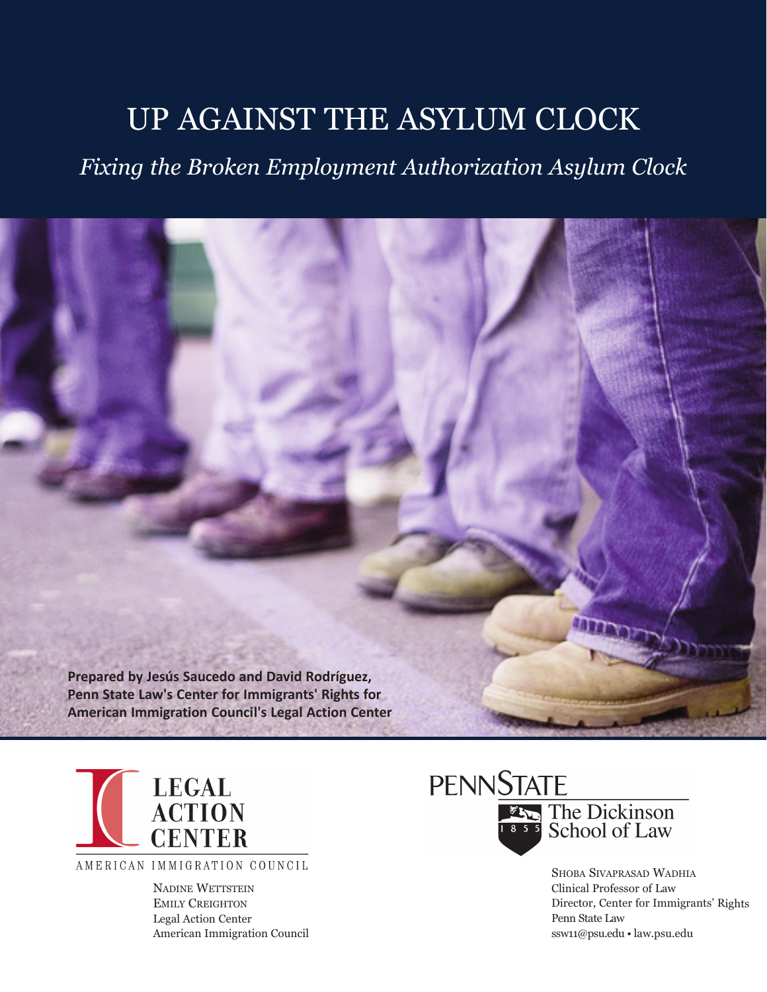# Up agaiNSt the aSyLUm CLoCk

*Fixing the Broken Employment Authorization Asylum Clock*





AMERICAN IMMIGRATION COUNCIL

NADINE WETTSTEIN **EMILY CREIGHTON** Legal action Center american immigration Council



Shoba SivapraSad Wadhia Clinical professor of Law Director, Center for Immigrants' Rights penn State Law ssw11@psu.edu • law.psu.edu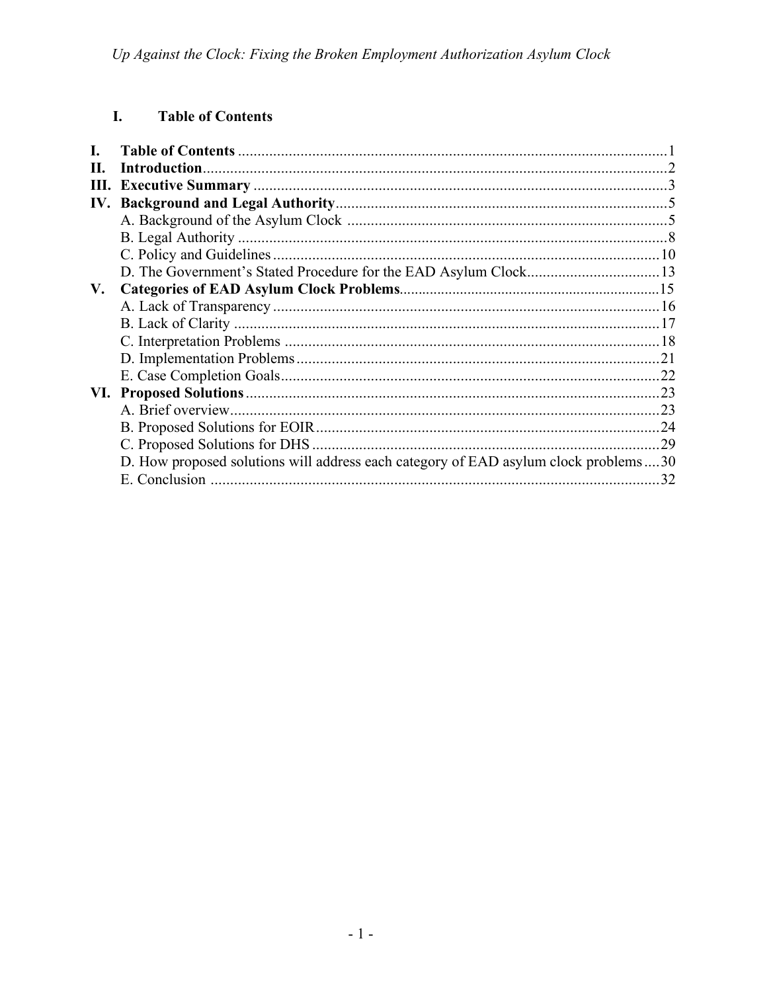#### I. **Table of Contents**

| Н.  |                                                                                     |     |
|-----|-------------------------------------------------------------------------------------|-----|
| Ш.  |                                                                                     |     |
| IV. |                                                                                     |     |
|     |                                                                                     |     |
|     |                                                                                     |     |
|     |                                                                                     |     |
|     |                                                                                     |     |
| V.  |                                                                                     |     |
|     |                                                                                     |     |
|     |                                                                                     |     |
|     |                                                                                     |     |
|     |                                                                                     |     |
|     |                                                                                     |     |
|     |                                                                                     |     |
|     |                                                                                     |     |
|     |                                                                                     |     |
|     |                                                                                     | .29 |
|     | D. How proposed solutions will address each category of EAD asylum clock problems30 |     |
|     | E. Conclusion                                                                       | 32  |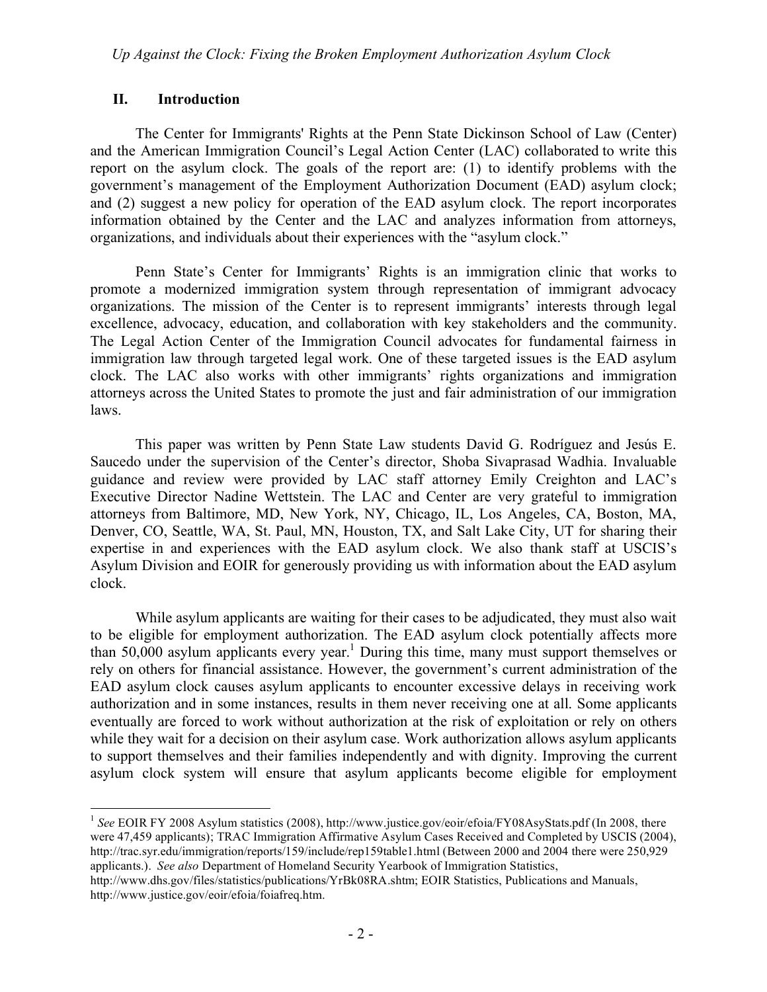### **II. Introduction**

The Center for Immigrants' Rights at the Penn State Dickinson School of Law (Center) and the American Immigration Council's Legal Action Center (LAC) collaborated to write this report on the asylum clock. The goals of the report are: (1) to identify problems with the government's management of the Employment Authorization Document (EAD) asylum clock; and (2) suggest a new policy for operation of the EAD asylum clock. The report incorporates information obtained by the Center and the LAC and analyzes information from attorneys, organizations, and individuals about their experiences with the "asylum clock."

Penn State's Center for Immigrants' Rights is an immigration clinic that works to promote a modernized immigration system through representation of immigrant advocacy organizations. The mission of the Center is to represent immigrants' interests through legal excellence, advocacy, education, and collaboration with key stakeholders and the community. The Legal Action Center of the Immigration Council advocates for fundamental fairness in immigration law through targeted legal work. One of these targeted issues is the EAD asylum clock. The LAC also works with other immigrants' rights organizations and immigration attorneys across the United States to promote the just and fair administration of our immigration laws.

This paper was written by Penn State Law students David G. Rodríguez and Jesús E. Saucedo under the supervision of the Center's director, Shoba Sivaprasad Wadhia. Invaluable guidance and review were provided by LAC staff attorney Emily Creighton and LAC's Executive Director Nadine Wettstein. The LAC and Center are very grateful to immigration attorneys from Baltimore, MD, New York, NY, Chicago, IL, Los Angeles, CA, Boston, MA, Denver, CO, Seattle, WA, St. Paul, MN, Houston, TX, and Salt Lake City, UT for sharing their expertise in and experiences with the EAD asylum clock. We also thank staff at USCIS's Asylum Division and EOIR for generously providing us with information about the EAD asylum clock.

While asylum applicants are waiting for their cases to be adjudicated, they must also wait to be eligible for employment authorization. The EAD asylum clock potentially affects more than  $50,000$  asylum applicants every year.<sup>1</sup> During this time, many must support themselves or rely on others for financial assistance. However, the government's current administration of the EAD asylum clock causes asylum applicants to encounter excessive delays in receiving work authorization and in some instances, results in them never receiving one at all. Some applicants eventually are forced to work without authorization at the risk of exploitation or rely on others while they wait for a decision on their asylum case. Work authorization allows asylum applicants to support themselves and their families independently and with dignity. Improving the current asylum clock system will ensure that asylum applicants become eligible for employment

<sup>&</sup>lt;sup>1</sup> See EOIR FY 2008 Asylum statistics (2008), http://www.justice.gov/eoir/efoia/FY08AsyStats.pdf (In 2008, there were 47,459 applicants); TRAC Immigration Affirmative Asylum Cases Received and Completed by USCIS (2004), http://trac.syr.edu/immigration/reports/159/include/rep159table1.html (Between 2000 and 2004 there were 250,929 applicants.). *See also* Department of Homeland Security Yearbook of Immigration Statistics,

http://www.dhs.gov/files/statistics/publications/YrBk08RA.shtm; EOIR Statistics, Publications and Manuals, http://www.justice.gov/eoir/efoia/foiafreq.htm.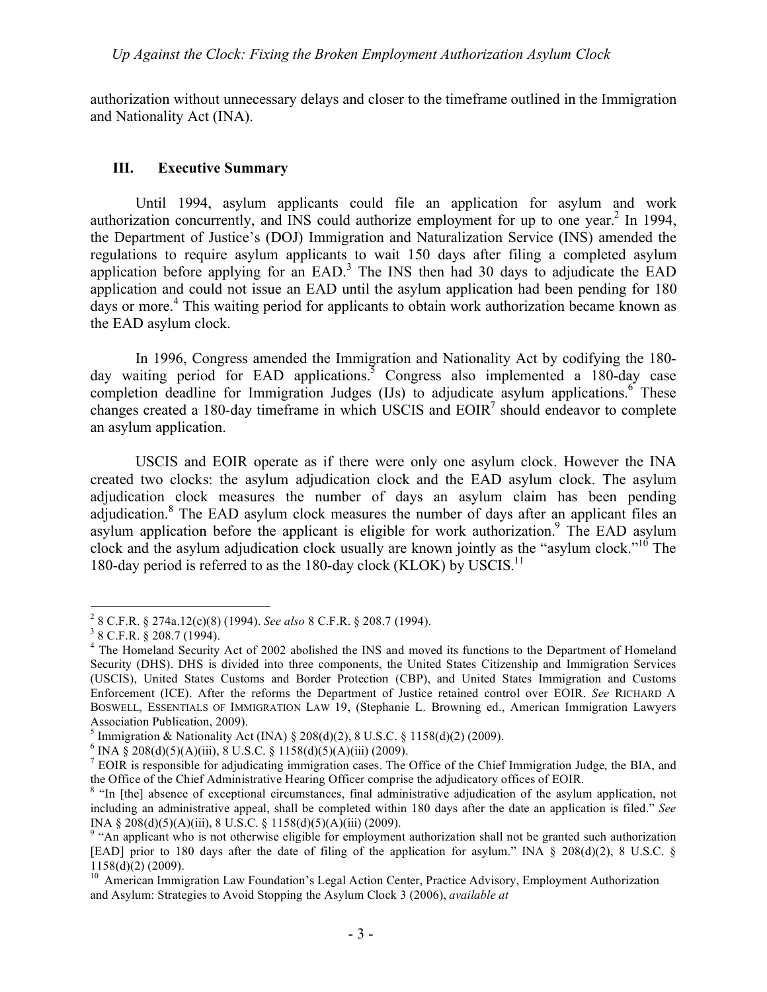authorization without unnecessary delays and closer to the timeframe outlined in the Immigration and Nationality Act (INA).

#### **III. Executive Summary**

Until 1994, asylum applicants could file an application for asylum and work authorization concurrently, and INS could authorize employment for up to one year.<sup>2</sup> In 1994, the Department of Justice's (DOJ) Immigration and Naturalization Service (INS) amended the regulations to require asylum applicants to wait 150 days after filing a completed asylum application before applying for an  $EAD$ <sup>3</sup>. The INS then had 30 days to adjudicate the  $EAD$ application and could not issue an EAD until the asylum application had been pending for 180 days or more.<sup>4</sup> This waiting period for applicants to obtain work authorization became known as the EAD asylum clock.

In 1996, Congress amended the Immigration and Nationality Act by codifying the 180 day waiting period for EAD applications.<sup>5</sup> Congress also implemented a 180-day case completion deadline for Immigration Judges (IJs) to adjudicate asylum applications.  $6$  These changes created a 180-day timeframe in which USCIS and  $E OIR<sup>7</sup>$  should endeavor to complete an asylum application.

USCIS and EOIR operate as if there were only one asylum clock. However the INA created two clocks: the asylum adjudication clock and the EAD asylum clock. The asylum adjudication clock measures the number of days an asylum claim has been pending adjudication.<sup>8</sup> The EAD asylum clock measures the number of days after an applicant files an asylum application before the applicant is eligible for work authorization.<sup>9</sup> The EAD asylum clock and the asylum adjudication clock usually are known jointly as the "asylum clock."10 The 180-day period is referred to as the 180-day clock (KLOK) by USCIS.<sup>11</sup>

 $\frac{1}{2}$ 8 C.F.R. § 274a.12(c)(8) (1994). *See also* 8 C.F.R. § 208.7 (1994). <sup>3</sup>

 $3$  8 C.F.R. § 208.7 (1994).

<sup>&</sup>lt;sup>4</sup> The Homeland Security Act of 2002 abolished the INS and moved its functions to the Department of Homeland Security (DHS). DHS is divided into three components, the United States Citizenship and Immigration Services (USCIS), United States Customs and Border Protection (CBP), and United States Immigration and Customs Enforcement (ICE). After the reforms the Department of Justice retained control over EOIR. *See* RICHARD A BOSWELL, ESSENTIALS OF IMMIGRATION LAW 19, (Stephanie L. Browning ed., American Immigration Lawyers Association Publication, 2009).

<sup>&</sup>lt;sup>5</sup> Immigration & Nationality Act (INA) § 208(d)(2), 8 U.S.C. § 1158(d)(2) (2009).

 $6$  INA § 208(d)(5)(A)(iii), 8 U.S.C. § 1158(d)(5)(A)(iii) (2009).

 $<sup>7</sup>$  EOIR is responsible for adjudicating immigration cases. The Office of the Chief Immigration Judge, the BIA, and</sup> the Office of the Chief Administrative Hearing Officer comprise the adjudicatory offices of EOIR.

<sup>&</sup>lt;sup>8</sup> "In [the] absence of exceptional circumstances, final administrative adjudication of the asylum application, not including an administrative appeal, shall be completed within 180 days after the date an application is filed." *See* INA § 208(d)(5)(A)(iii), 8 U.S.C. § 1158(d)(5)(A)(iii) (2009).

<sup>&</sup>lt;sup>9</sup> "An applicant who is not otherwise eligible for employment authorization shall not be granted such authorization [EAD] prior to 180 days after the date of filing of the application for asylum." INA § 208(d)(2), 8 U.S.C. § 1158(d)(2) (2009).

<sup>&</sup>lt;sup>10</sup> American Immigration Law Foundation's Legal Action Center, Practice Advisory, Employment Authorization and Asylum: Strategies to Avoid Stopping the Asylum Clock 3 (2006), *available at*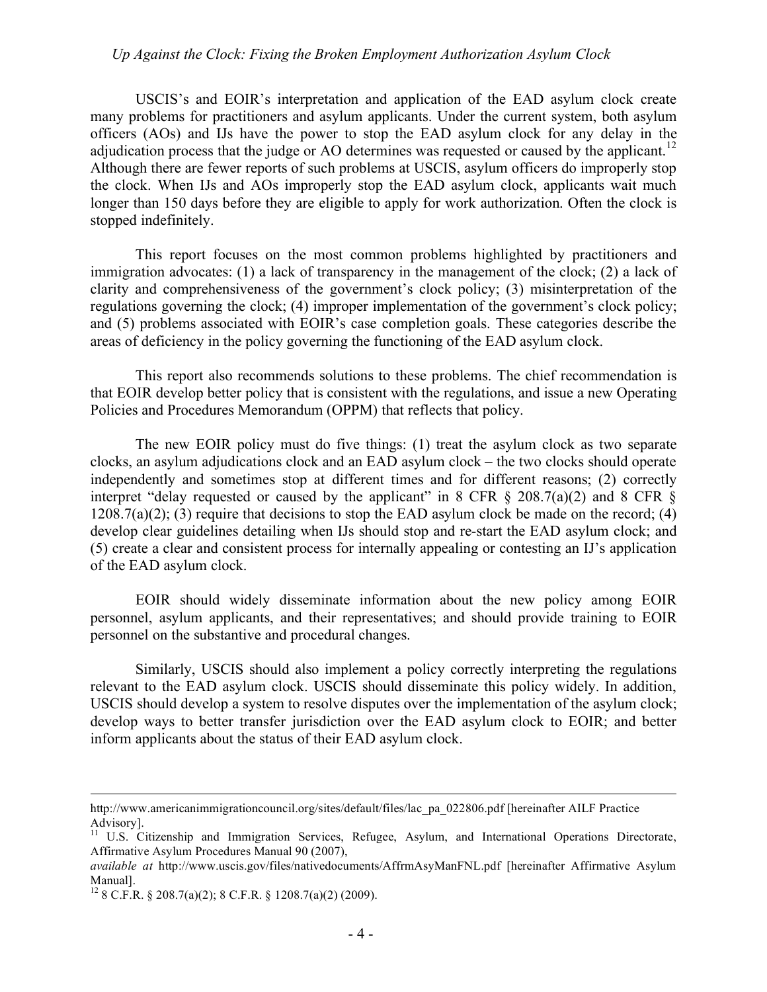USCIS's and EOIR's interpretation and application of the EAD asylum clock create many problems for practitioners and asylum applicants. Under the current system, both asylum officers (AOs) and IJs have the power to stop the EAD asylum clock for any delay in the adjudication process that the judge or AO determines was requested or caused by the applicant.<sup>12</sup> Although there are fewer reports of such problems at USCIS, asylum officers do improperly stop the clock. When IJs and AOs improperly stop the EAD asylum clock, applicants wait much longer than 150 days before they are eligible to apply for work authorization. Often the clock is stopped indefinitely.

This report focuses on the most common problems highlighted by practitioners and immigration advocates: (1) a lack of transparency in the management of the clock; (2) a lack of clarity and comprehensiveness of the government's clock policy; (3) misinterpretation of the regulations governing the clock; (4) improper implementation of the government's clock policy; and (5) problems associated with EOIR's case completion goals. These categories describe the areas of deficiency in the policy governing the functioning of the EAD asylum clock.

This report also recommends solutions to these problems. The chief recommendation is that EOIR develop better policy that is consistent with the regulations, and issue a new Operating Policies and Procedures Memorandum (OPPM) that reflects that policy.

The new EOIR policy must do five things: (1) treat the asylum clock as two separate clocks, an asylum adjudications clock and an EAD asylum clock – the two clocks should operate independently and sometimes stop at different times and for different reasons; (2) correctly interpret "delay requested or caused by the applicant" in 8 CFR  $\S$  208.7(a)(2) and 8 CFR  $\S$  $1208.7(a)(2)$ ; (3) require that decisions to stop the EAD asylum clock be made on the record; (4) develop clear guidelines detailing when IJs should stop and re-start the EAD asylum clock; and (5) create a clear and consistent process for internally appealing or contesting an IJ's application of the EAD asylum clock.

EOIR should widely disseminate information about the new policy among EOIR personnel, asylum applicants, and their representatives; and should provide training to EOIR personnel on the substantive and procedural changes.

Similarly, USCIS should also implement a policy correctly interpreting the regulations relevant to the EAD asylum clock. USCIS should disseminate this policy widely. In addition, USCIS should develop a system to resolve disputes over the implementation of the asylum clock; develop ways to better transfer jurisdiction over the EAD asylum clock to EOIR; and better inform applicants about the status of their EAD asylum clock.

 $\overline{a}$ 

http://www.americanimmigrationcouncil.org/sites/default/files/lac\_pa\_022806.pdf [hereinafter AILF Practice Advisory].

<sup>&</sup>lt;sup>11</sup> U.S. Citizenship and Immigration Services, Refugee, Asylum, and International Operations Directorate, Affirmative Asylum Procedures Manual 90 (2007),

*available at* http://www.uscis.gov/files/nativedocuments/AffrmAsyManFNL.pdf [hereinafter Affirmative Asylum Manual].

<sup>&</sup>lt;sup>12</sup> 8 C.F.R. § 208.7(a)(2); 8 C.F.R. § 1208.7(a)(2) (2009).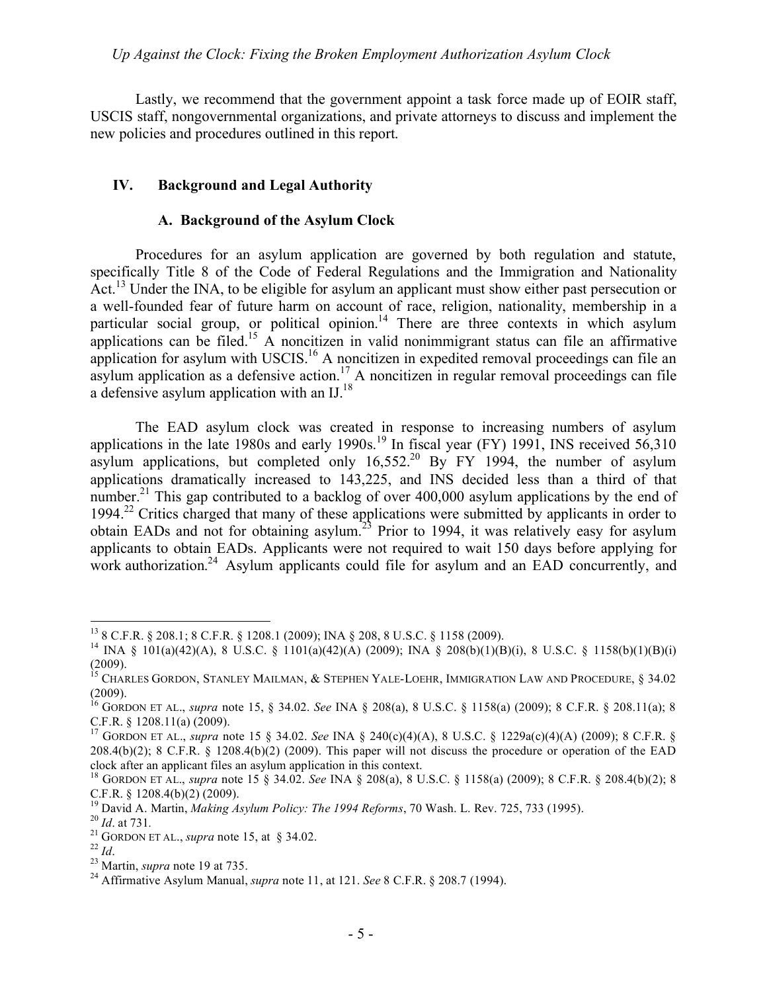Lastly, we recommend that the government appoint a task force made up of EOIR staff, USCIS staff, nongovernmental organizations, and private attorneys to discuss and implement the new policies and procedures outlined in this report.

# **IV. Background and Legal Authority**

# **A. Background of the Asylum Clock**

Procedures for an asylum application are governed by both regulation and statute, specifically Title 8 of the Code of Federal Regulations and the Immigration and Nationality Act.<sup>13</sup> Under the INA, to be eligible for asylum an applicant must show either past persecution or a well-founded fear of future harm on account of race, religion, nationality, membership in a particular social group, or political opinion.<sup>14</sup> There are three contexts in which asylum applications can be filed.<sup>15</sup> A noncitizen in valid nonimmigrant status can file an affirmative application for asylum with USCIS.<sup>16</sup> A noncitizen in expedited removal proceedings can file an asylum application as a defensive action.<sup>17</sup> A noncitizen in regular removal proceedings can file a defensive asylum application with an  $IJ$ <sup>18</sup>

The EAD asylum clock was created in response to increasing numbers of asylum applications in the late 1980s and early 1990s.<sup>19</sup> In fiscal year (FY) 1991, INS received 56,310 asylum applications, but completed only  $16,552<sup>20</sup>$  By FY 1994, the number of asylum applications dramatically increased to 143,225, and INS decided less than a third of that number.<sup>21</sup> This gap contributed to a backlog of over 400,000 asylum applications by the end of 1994.22 Critics charged that many of these applications were submitted by applicants in order to obtain EADs and not for obtaining asylum.<sup>23</sup> Prior to 1994, it was relatively easy for asylum applicants to obtain EADs. Applicants were not required to wait 150 days before applying for work authorization.<sup>24</sup> Asylum applicants could file for asylum and an EAD concurrently, and

 <sup>13 8</sup> C.F.R. § 208.1; 8 C.F.R. § 1208.1 (2009); INA § 208, 8 U.S.C. § 1158 (2009).

<sup>&</sup>lt;sup>14</sup> INA § 101(a)(42)(A), 8 U.S.C. § 1101(a)(42)(A) (2009); INA § 208(b)(1)(B)(i), 8 U.S.C. § 1158(b)(1)(B)(i) (2009).

<sup>&</sup>lt;sup>15</sup> CHARLES GORDON, STANLEY MAILMAN, & STEPHEN YALE-LOEHR, IMMIGRATION LAW AND PROCEDURE, § 34.02 (2009).

<sup>16</sup> GORDON ET AL., *supra* note 15, § 34.02. *See* INA § 208(a), 8 U.S.C. § 1158(a) (2009); 8 C.F.R. § 208.11(a); 8 C.F.R. § 1208.11(a) (2009). 17 GORDON ET AL., *supra* note 15 § 34.02. *See* INA § 240(c)(4)(A), 8 U.S.C. § 1229a(c)(4)(A) (2009); 8 C.F.R. §

<sup>208.4(</sup>b)(2); 8 C.F.R. § 1208.4(b)(2) (2009). This paper will not discuss the procedure or operation of the EAD clock after an applicant files an asylum application in this context.

<sup>&</sup>lt;sup>18</sup> GORDON ET AL., *supra* note 15 § 34.02. *See* INA § 208(a), 8 U.S.C. § 1158(a) (2009); 8 C.F.R. § 208.4(b)(2); 8 C.F.R. § 1208.4(b)(2) (2009).<br><sup>19</sup> David A. Martin, *Making Asylum Policy: The 1994 Reforms*, 70 Wash. L. Rev. 725, 733 (1995).<br><sup>20</sup> *Id.* at 731.<br><sup>21</sup> GORDON ET AL., *supra* note 15, at § 34.02.<br><sup>22</sup> *Id.*<br><sup>23</sup> Martin,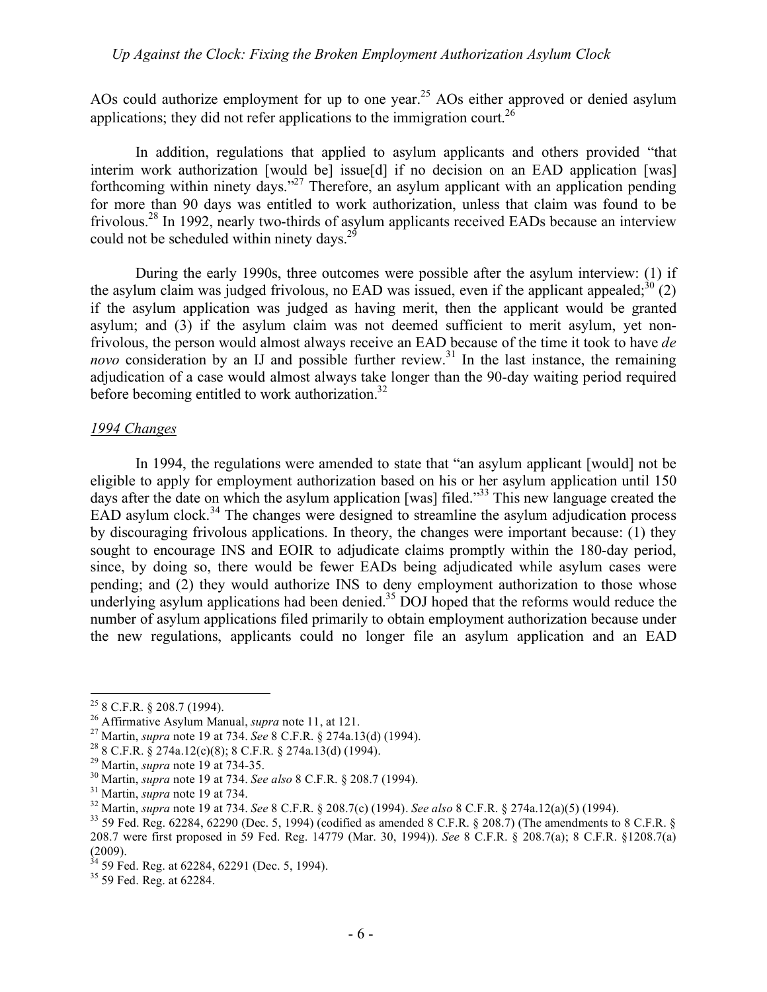AOs could authorize employment for up to one year.<sup>25</sup> AOs either approved or denied asylum applications; they did not refer applications to the immigration court.<sup>26</sup>

In addition, regulations that applied to asylum applicants and others provided "that interim work authorization [would be] issue[d] if no decision on an EAD application [was] forthcoming within ninety days."<sup>27</sup> Therefore, an asylum applicant with an application pending for more than 90 days was entitled to work authorization, unless that claim was found to be frivolous.<sup>28</sup> In 1992, nearly two-thirds of asylum applicants received EADs because an interview could not be scheduled within ninety days. $2^{9}$ 

During the early 1990s, three outcomes were possible after the asylum interview: (1) if the asylum claim was judged frivolous, no EAD was issued, even if the applicant appealed;<sup>30</sup> (2) if the asylum application was judged as having merit, then the applicant would be granted asylum; and (3) if the asylum claim was not deemed sufficient to merit asylum, yet nonfrivolous, the person would almost always receive an EAD because of the time it took to have *de novo* consideration by an IJ and possible further review.<sup>31</sup> In the last instance, the remaining adjudication of a case would almost always take longer than the 90-day waiting period required before becoming entitled to work authorization. $32$ 

#### *1994 Changes*

In 1994, the regulations were amended to state that "an asylum applicant [would] not be eligible to apply for employment authorization based on his or her asylum application until 150 days after the date on which the asylum application [was] filed.<sup>33</sup> This new language created the EAD asylum clock.<sup>34</sup> The changes were designed to streamline the asylum adjudication process by discouraging frivolous applications. In theory, the changes were important because: (1) they sought to encourage INS and EOIR to adjudicate claims promptly within the 180-day period, since, by doing so, there would be fewer EADs being adjudicated while asylum cases were pending; and (2) they would authorize INS to deny employment authorization to those whose underlying asylum applications had been denied.<sup>35</sup> DOJ hoped that the reforms would reduce the number of asylum applications filed primarily to obtain employment authorization because under the new regulations, applicants could no longer file an asylum application and an EAD

<sup>&</sup>lt;sup>25</sup> 8 C.F.R. § 208.7 (1994).<br><sup>26</sup> Affirmative Asylum Manual, *supra* note 11, at 121.<br><sup>27</sup> Martin, *supra* note 19 at 734. *See* 8 C.F.R. § 274a.13(d) (1994).<br><sup>28</sup> 8 C.F.R. § 274a.12(c)(8); 8 C.F.R. § 274a.13(d) (1994).<br>

<sup>&</sup>lt;sup>30</sup> Martin, *supra* note 19 at 734. *See also* 8 C.F.R. § 208.7 (1994).<br><sup>31</sup> Martin, *supra* note 19 at 734. *See* 8 C.F.R. § 208.7(c) (1994). *See also* 8 C.F.R. § 274a.12(a)(5) (1994).<br><sup>32</sup> Martin, *supra* note 19 at 7

<sup>208.7</sup> were first proposed in 59 Fed. Reg. 14779 (Mar. 30, 1994)). *See* 8 C.F.R. § 208.7(a); 8 C.F.R. §1208.7(a) (2009).

 $3^3$  59 Fed. Reg. at 62284, 62291 (Dec. 5, 1994).

 $35\,59$  Fed. Reg. at 62284.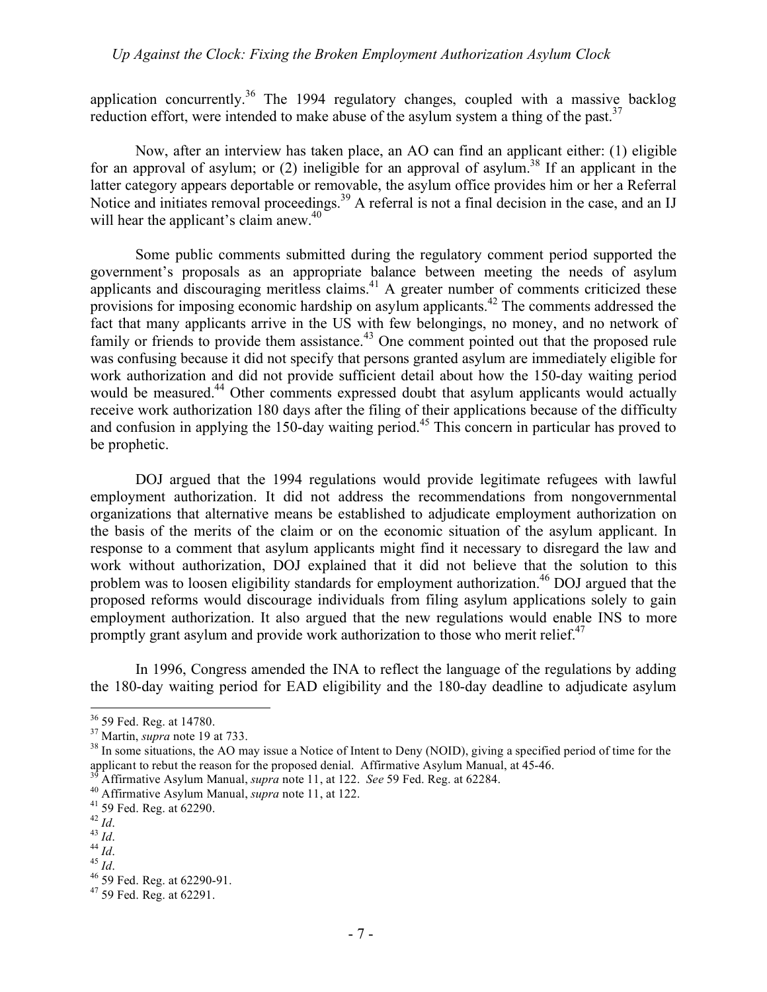application concurrently.<sup>36</sup> The 1994 regulatory changes, coupled with a massive backlog reduction effort, were intended to make abuse of the asylum system a thing of the past.<sup>37</sup>

Now, after an interview has taken place, an AO can find an applicant either: (1) eligible for an approval of asylum; or (2) ineligible for an approval of asylum.<sup>38</sup> If an applicant in the latter category appears deportable or removable, the asylum office provides him or her a Referral Notice and initiates removal proceedings.<sup>39</sup> A referral is not a final decision in the case, and an IJ will hear the applicant's claim anew. $40$ 

Some public comments submitted during the regulatory comment period supported the government's proposals as an appropriate balance between meeting the needs of asylum applicants and discouraging meritless claims.<sup>41</sup> A greater number of comments criticized these provisions for imposing economic hardship on asylum applicants.<sup>42</sup> The comments addressed the fact that many applicants arrive in the US with few belongings, no money, and no network of family or friends to provide them assistance.<sup>43</sup> One comment pointed out that the proposed rule was confusing because it did not specify that persons granted asylum are immediately eligible for work authorization and did not provide sufficient detail about how the 150-day waiting period would be measured.<sup>44</sup> Other comments expressed doubt that asylum applicants would actually receive work authorization 180 days after the filing of their applications because of the difficulty and confusion in applying the 150-day waiting period.<sup>45</sup> This concern in particular has proved to be prophetic.

DOJ argued that the 1994 regulations would provide legitimate refugees with lawful employment authorization. It did not address the recommendations from nongovernmental organizations that alternative means be established to adjudicate employment authorization on the basis of the merits of the claim or on the economic situation of the asylum applicant. In response to a comment that asylum applicants might find it necessary to disregard the law and work without authorization, DOJ explained that it did not believe that the solution to this problem was to loosen eligibility standards for employment authorization.<sup>46</sup> DOJ argued that the proposed reforms would discourage individuals from filing asylum applications solely to gain employment authorization. It also argued that the new regulations would enable INS to more promptly grant asylum and provide work authorization to those who merit relief. $47$ 

In 1996, Congress amended the INA to reflect the language of the regulations by adding the 180-day waiting period for EAD eligibility and the 180-day deadline to adjudicate asylum

 $36$  59 Fed. Reg. at 14780.<br> $37$  Martin, *supra* note 19 at 733.

<sup>&</sup>lt;sup>38</sup> In some situations, the AO may issue a Notice of Intent to Deny (NOID), giving a specified period of time for the applicant to rebut the reason for the proposed denial. Affirmative Asylum Manual, at 45-46.

<sup>&</sup>lt;sup>39</sup> Affirmative Asylum Manual, *supra* note 11, at 122. *See* 59 Fed. Reg. at 62284.<br><sup>40</sup> Affirmative Asylum Manual, *supra* note 11, at 122.<br><sup>41</sup> 59 Fed. Reg. at 62290.<br><sup>42</sup> Id.

<sup>43</sup> *Id.* 44 *Id.* 44 *Id.* 45 *Id.* 45 *Id.* 46 59 Fed. Reg. at 62290-91. 47 59 Fed. Reg. at 62291.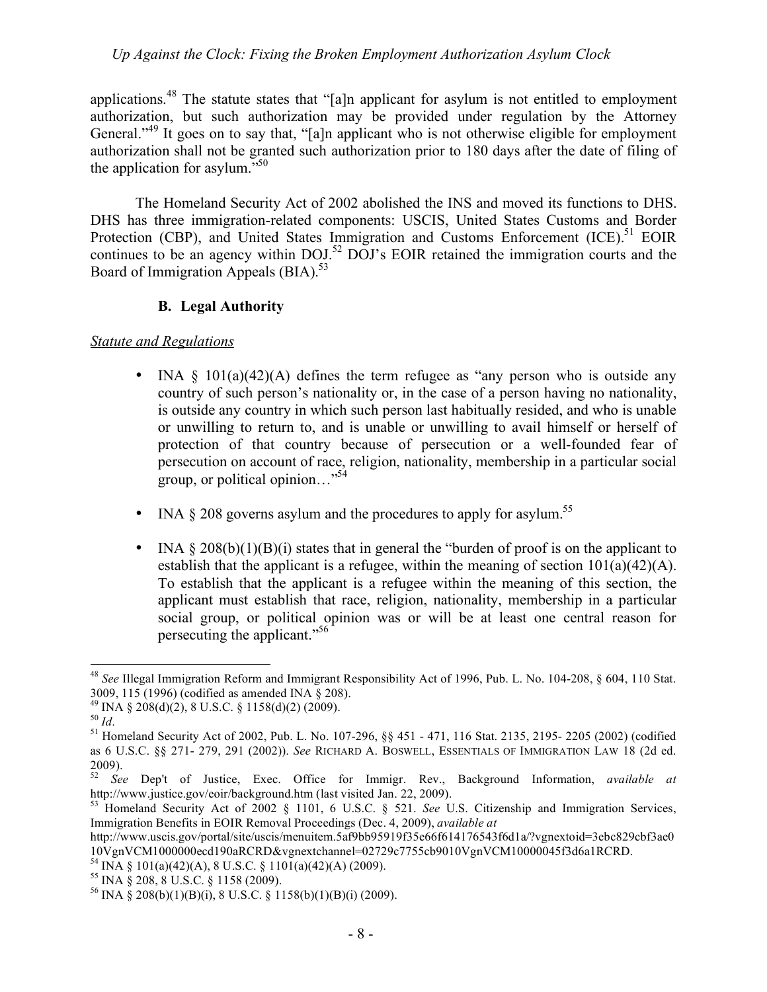applications.<sup>48</sup> The statute states that "[a]n applicant for asylum is not entitled to employment authorization, but such authorization may be provided under regulation by the Attorney General."<sup>49</sup> It goes on to say that, "[a]n applicant who is not otherwise eligible for employment authorization shall not be granted such authorization prior to 180 days after the date of filing of the application for asylum. $^{550}$ 

The Homeland Security Act of 2002 abolished the INS and moved its functions to DHS. DHS has three immigration-related components: USCIS, United States Customs and Border Protection (CBP), and United States Immigration and Customs Enforcement  $(ICE)$ <sup>51</sup> EOIR continues to be an agency within DOJ.<sup>52</sup> DOJ's EOIR retained the immigration courts and the Board of Immigration Appeals  $(BIA)^{53}$ 

## **B. Legal Authority**

## *Statute and Regulations*

- INA  $\S$  101(a)(42)(A) defines the term refugee as "any person who is outside any country of such person's nationality or, in the case of a person having no nationality, is outside any country in which such person last habitually resided, and who is unable or unwilling to return to, and is unable or unwilling to avail himself or herself of protection of that country because of persecution or a well-founded fear of persecution on account of race, religion, nationality, membership in a particular social group, or political opinion…"54
- INA  $\&$  208 governs asylum and the procedures to apply for asylum.<sup>55</sup>
- INA  $\S 208(b)(1)(B)(i)$  states that in general the "burden of proof is on the applicant to establish that the applicant is a refugee, within the meaning of section  $101(a)(42)(A)$ . To establish that the applicant is a refugee within the meaning of this section, the applicant must establish that race, religion, nationality, membership in a particular social group, or political opinion was or will be at least one central reason for persecuting the applicant."56

 <sup>48</sup> *See* Illegal Immigration Reform and Immigrant Responsibility Act of 1996, Pub. L. No. 104-208, § 604, 110 Stat. 3009, 115 (1996) (codified as amended INA § 208).

 $^{49}$  INA § 208(d)(2), 8 U.S.C. § 1158(d)(2) (2009).

<sup>&</sup>lt;sup>50</sup> *Id.* <sup>51</sup> Homeland Security Act of 2002, Pub. L. No. 107-296, §§ 451 - 471, 116 Stat. 2135, 2195- 2205 (2002) (codified <sup>51</sup> as 6 U.S.C. §§ 271- 279, 291 (2002)). *See* RICHARD A. BOSWELL, ESSENTIALS OF IMMIGRATION LAW 18 (2d ed.  $^{2009}_{52}$ .

<sup>52</sup> *See* Dep't of Justice, Exec. Office for Immigr. Rev., Background Information, *available at* http://www.justice.gov/eoir/background.htm (last visited Jan. 22, 2009).

<sup>53</sup> Homeland Security Act of 2002 § 1101, 6 U.S.C. § 521. *See* U.S. Citizenship and Immigration Services, Immigration Benefits in EOIR Removal Proceedings (Dec. 4, 2009), *available at* 

http://www.uscis.gov/portal/site/uscis/menuitem.5af9bb95919f35e66f614176543f6d1a/?vgnextoid=3ebc829cbf3ae0 10VgnVCM1000000ecd190aRCRD&vgnextchannel=02729c7755cb9010VgnVCM10000045f3d6a1RCRD. 54 INA § 101(a)(42)(A), 8 U.S.C. § 1101(a)(42)(A) (2009).

 $55$  INA  $\frac{8}{9}$  208,  $\frac{8}{9}$  U.S.C.  $\frac{8}{9}$  1158 (2009).

<sup>&</sup>lt;sup>56</sup> INA § 208(b)(1)(B)(i), 8 U.S.C. § 1158(b)(1)(B)(i) (2009).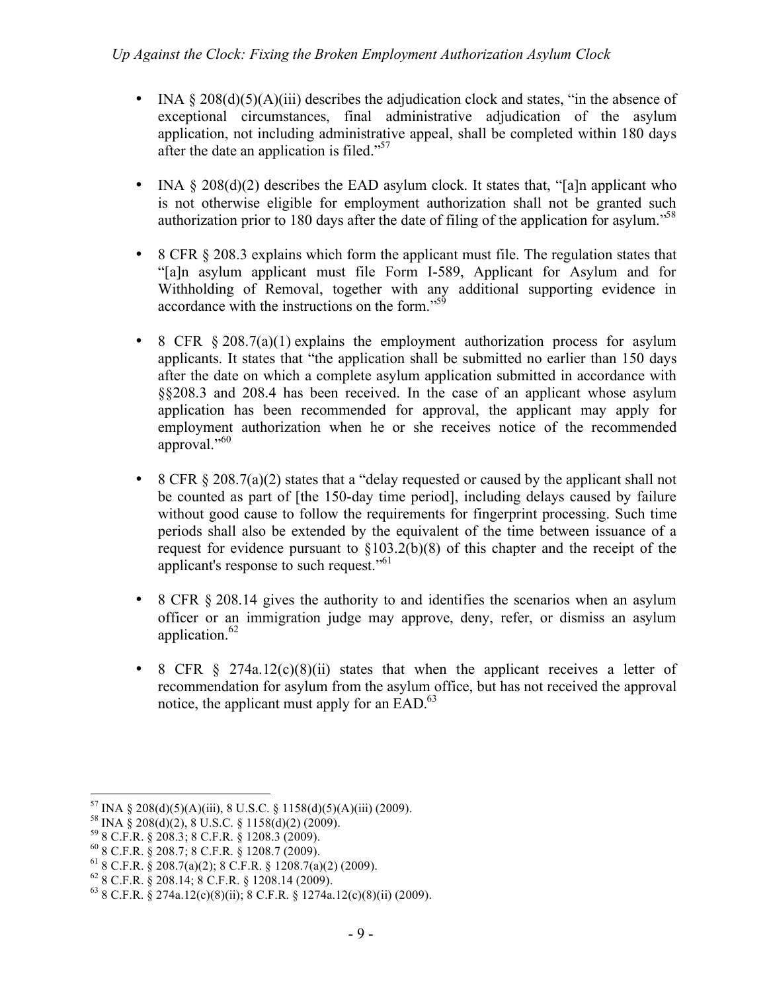- INA  $\S 208(d)(5)(A)(iii)$  describes the adjudication clock and states, "in the absence of exceptional circumstances, final administrative adjudication of the asylum application, not including administrative appeal, shall be completed within 180 days after the date an application is filed."<sup>57</sup>
- INA  $\S 208(d)(2)$  describes the EAD asylum clock. It states that, "[a]n applicant who is not otherwise eligible for employment authorization shall not be granted such authorization prior to 180 days after the date of filing of the application for asylum.<sup>58</sup>
- 8 CFR § 208.3 explains which form the applicant must file. The regulation states that "[a]n asylum applicant must file Form I-589, Applicant for Asylum and for Withholding of Removal, together with any additional supporting evidence in accordance with the instructions on the form."<sup>59</sup>
- 8 CFR  $\S 208.7(a)(1)$  explains the employment authorization process for asylum applicants. It states that "the application shall be submitted no earlier than 150 days after the date on which a complete asylum application submitted in accordance with §§208.3 and 208.4 has been received. In the case of an applicant whose asylum application has been recommended for approval, the applicant may apply for employment authorization when he or she receives notice of the recommended approval."60
- 8 CFR § 208.7(a)(2) states that a "delay requested or caused by the applicant shall not be counted as part of [the 150-day time period], including delays caused by failure without good cause to follow the requirements for fingerprint processing. Such time periods shall also be extended by the equivalent of the time between issuance of a request for evidence pursuant to §103.2(b)(8) of this chapter and the receipt of the applicant's response to such request."<sup>61</sup>
- 8 CFR  $\S 208.14$  gives the authority to and identifies the scenarios when an asylum officer or an immigration judge may approve, deny, refer, or dismiss an asylum application.<sup>62</sup>
- 8 CFR  $\frac{1}{2}$  274a.12(c)(8)(ii) states that when the applicant receives a letter of recommendation for asylum from the asylum office, but has not received the approval notice, the applicant must apply for an  $EAD<sup>63</sup>$ .

<sup>&</sup>lt;sup>57</sup> INA § 208(d)(5)(A)(iii), 8 U.S.C. § 1158(d)(5)(A)(iii) (2009).<br><sup>58</sup> INA § 208(d)(2), 8 U.S.C. § 1158(d)(2) (2009).

 $59$  8 C.F.R. § 208.3; 8 C.F.R. § 1208.3 (2009).<br>
60 8 C.F.R. § 208.7; 8 C.F.R. § 1208.7 (2009).<br>
61 8 C.F.R. § 208.7(a)(2); 8 C.F.R. § 1208.7(a)(2) (2009).<br>
62 8 C.F.R. § 208.14; 8 C.F.R. § 1208.14 (2009).

 $^{63}$  8 C.F.R. § 274a.12(c)(8)(ii); 8 C.F.R. § 1274a.12(c)(8)(ii) (2009).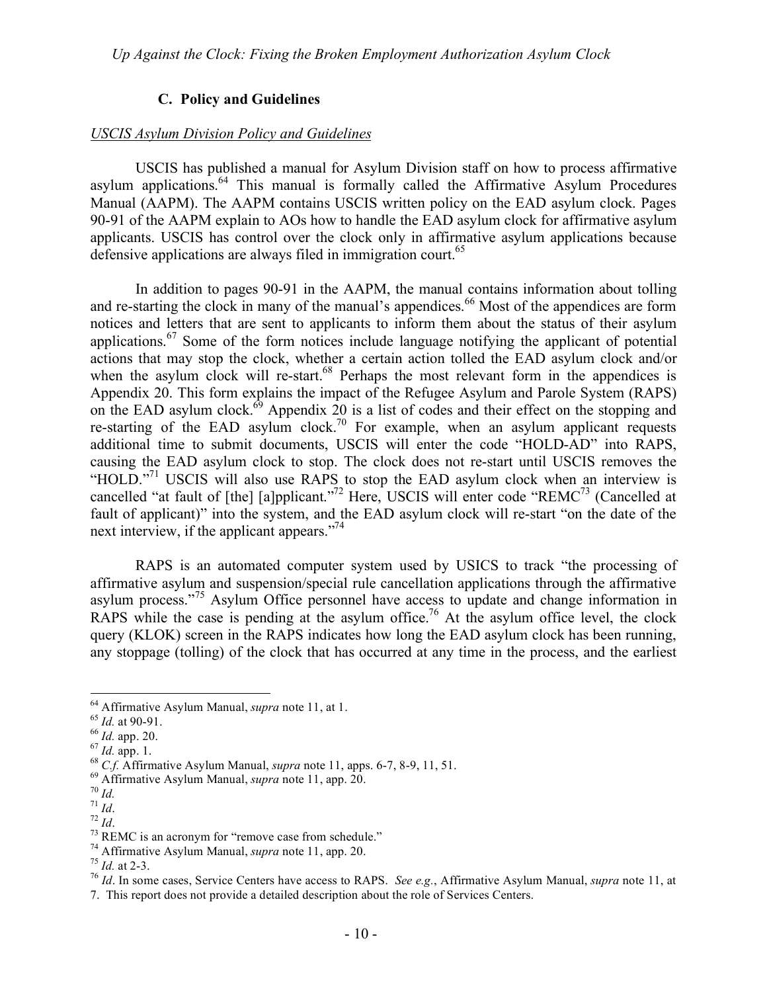# **C. Policy and Guidelines**

#### *USCIS Asylum Division Policy and Guidelines*

USCIS has published a manual for Asylum Division staff on how to process affirmative asylum applications.<sup>64</sup> This manual is formally called the Affirmative Asylum Procedures Manual (AAPM). The AAPM contains USCIS written policy on the EAD asylum clock. Pages 90-91 of the AAPM explain to AOs how to handle the EAD asylum clock for affirmative asylum applicants. USCIS has control over the clock only in affirmative asylum applications because defensive applications are always filed in immigration court.<sup>65</sup>

In addition to pages 90-91 in the AAPM, the manual contains information about tolling and re-starting the clock in many of the manual's appendices.<sup>66</sup> Most of the appendices are form notices and letters that are sent to applicants to inform them about the status of their asylum applications.<sup>67</sup> Some of the form notices include language notifying the applicant of potential actions that may stop the clock, whether a certain action tolled the EAD asylum clock and/or when the asylum clock will re-start.<sup>68</sup> Perhaps the most relevant form in the appendices is Appendix 20. This form explains the impact of the Refugee Asylum and Parole System (RAPS) on the EAD asylum clock. $^{69}$  Appendix 20 is a list of codes and their effect on the stopping and re-starting of the EAD asylum clock.<sup>70</sup> For example, when an asylum applicant requests additional time to submit documents, USCIS will enter the code "HOLD-AD" into RAPS, causing the EAD asylum clock to stop. The clock does not re-start until USCIS removes the "HOLD."<sup>71</sup> USCIS will also use RAPS to stop the EAD asylum clock when an interview is cancelled "at fault of [the] [a]pplicant."<sup>72</sup> Here, USCIS will enter code "REMC<sup>73</sup> (Cancelled at fault of applicant)" into the system, and the EAD asylum clock will re-start "on the date of the next interview, if the applicant appears."<sup>74</sup>

RAPS is an automated computer system used by USICS to track "the processing of affirmative asylum and suspension/special rule cancellation applications through the affirmative asylum process."75 Asylum Office personnel have access to update and change information in RAPS while the case is pending at the asylum office.<sup>76</sup> At the asylum office level, the clock query (KLOK) screen in the RAPS indicates how long the EAD asylum clock has been running, any stoppage (tolling) of the clock that has occurred at any time in the process, and the earliest

<sup>&</sup>lt;sup>64</sup> Affirmative Asylum Manual, *supra* note 11, at 1.<br>
<sup>65</sup> *Id.* at 90-91.<br>
<sup>66</sup> *Id.* app. 20.<br>
<sup>67</sup> *Id.* app. 1.<br>
<sup>68</sup> *C.f.* Affirmative Asylum Manual, *supra* note 11, apps. 6-7, 8-9, 11, 51.<br>
<sup>69</sup> Affirmative Asyl

<sup>74</sup> Affirmative Asylum Manual, *supra* note 11, app. 20. <sup>75</sup> *Id.* at 2-3. <sup>76</sup> *Id*. In some cases, Service Centers have access to RAPS. *See e.g.*, Affirmative Asylum Manual, *supra* note 11, at

<sup>7.</sup> This report does not provide a detailed description about the role of Services Centers.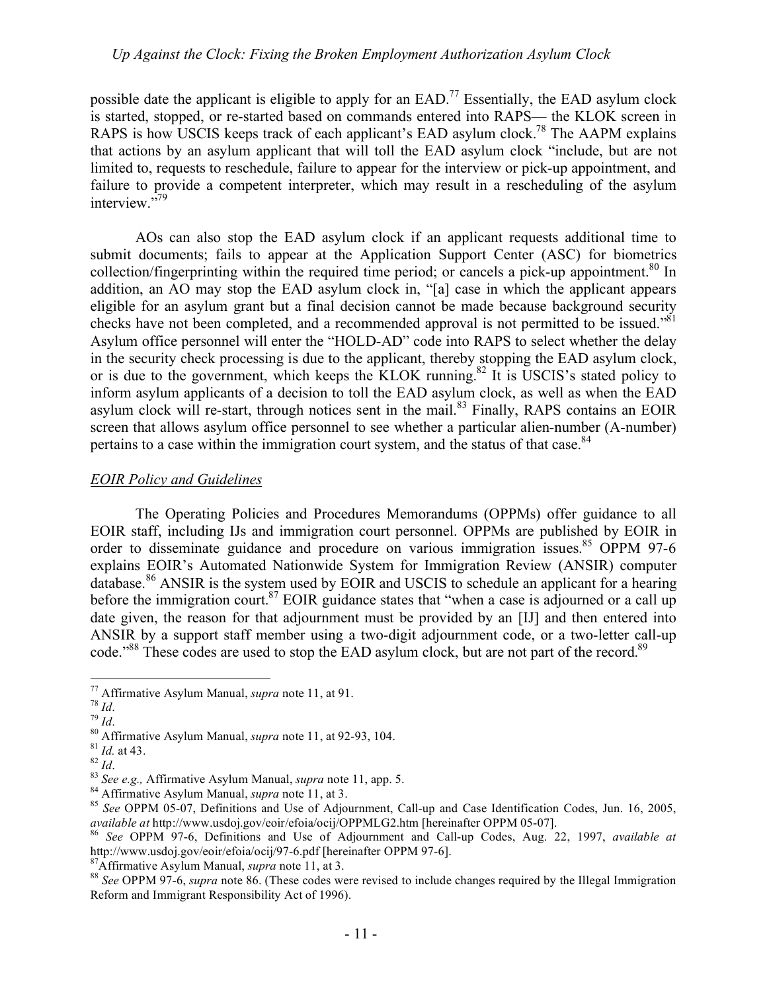possible date the applicant is eligible to apply for an EAD.77 Essentially, the EAD asylum clock is started, stopped, or re-started based on commands entered into RAPS— the KLOK screen in RAPS is how USCIS keeps track of each applicant's EAD asylum clock.<sup>78</sup> The AAPM explains that actions by an asylum applicant that will toll the EAD asylum clock "include, but are not limited to, requests to reschedule, failure to appear for the interview or pick-up appointment, and failure to provide a competent interpreter, which may result in a rescheduling of the asylum interview."79

AOs can also stop the EAD asylum clock if an applicant requests additional time to submit documents; fails to appear at the Application Support Center (ASC) for biometrics collection/fingerprinting within the required time period; or cancels a pick-up appointment.<sup>80</sup> In addition, an AO may stop the EAD asylum clock in, "[a] case in which the applicant appears eligible for an asylum grant but a final decision cannot be made because background security checks have not been completed, and a recommended approval is not permitted to be issued."<sup>81</sup> Asylum office personnel will enter the "HOLD-AD" code into RAPS to select whether the delay in the security check processing is due to the applicant, thereby stopping the EAD asylum clock, or is due to the government, which keeps the KLOK running.82 It is USCIS's stated policy to inform asylum applicants of a decision to toll the EAD asylum clock, as well as when the EAD asylum clock will re-start, through notices sent in the mail.<sup>83</sup> Finally, RAPS contains an EOIR screen that allows asylum office personnel to see whether a particular alien-number (A-number) pertains to a case within the immigration court system, and the status of that case.<sup>84</sup>

#### *EOIR Policy and Guidelines*

The Operating Policies and Procedures Memorandums (OPPMs) offer guidance to all EOIR staff, including IJs and immigration court personnel. OPPMs are published by EOIR in order to disseminate guidance and procedure on various immigration issues.<sup>85</sup> OPPM 97-6 explains EOIR's Automated Nationwide System for Immigration Review (ANSIR) computer database.<sup>86</sup> ANSIR is the system used by EOIR and USCIS to schedule an applicant for a hearing before the immigration court.<sup>87</sup> EOIR guidance states that "when a case is adjourned or a call up date given, the reason for that adjournment must be provided by an [IJ] and then entered into ANSIR by a support staff member using a two-digit adjournment code, or a two-letter call-up code."<sup>88</sup> These codes are used to stop the EAD asylum clock, but are not part of the record.<sup>89</sup>

<sup>&</sup>lt;sup>77</sup> Affirmative Asylum Manual, *supra* note 11, at 91.<br><sup>78</sup> *Id.*<br><sup>80</sup> Affirmative Asylum Manual, *supra* note 11, at 92-93, 104.<br><sup>81</sup> *Id.* at 43.<br><sup>82</sup> *Id.*<br><sup>83</sup> *See e.g.*, Affirmative Asylum Manual, *supra* note 11, *available at* http://www.usdoj.gov/eoir/efoia/ocij/OPPMLG2.htm [hereinafter OPPM 05-07].<sup>86</sup> *See* OPPM 97-6, Definitions and Use of Adjournment and Call-up Codes, Aug. 22, 1997, *available at*

http://www.usdoj.gov/eoir/efoia/ocij/97-6.pdf [hereinafter OPPM 97-6].<br><sup>87</sup>Affirmative Asylum Manual, *supra* note 11, at 3.<br><sup>88</sup> See OPPM 97-6, *supra* note 86. (These codes were revised to include changes required by the

Reform and Immigrant Responsibility Act of 1996).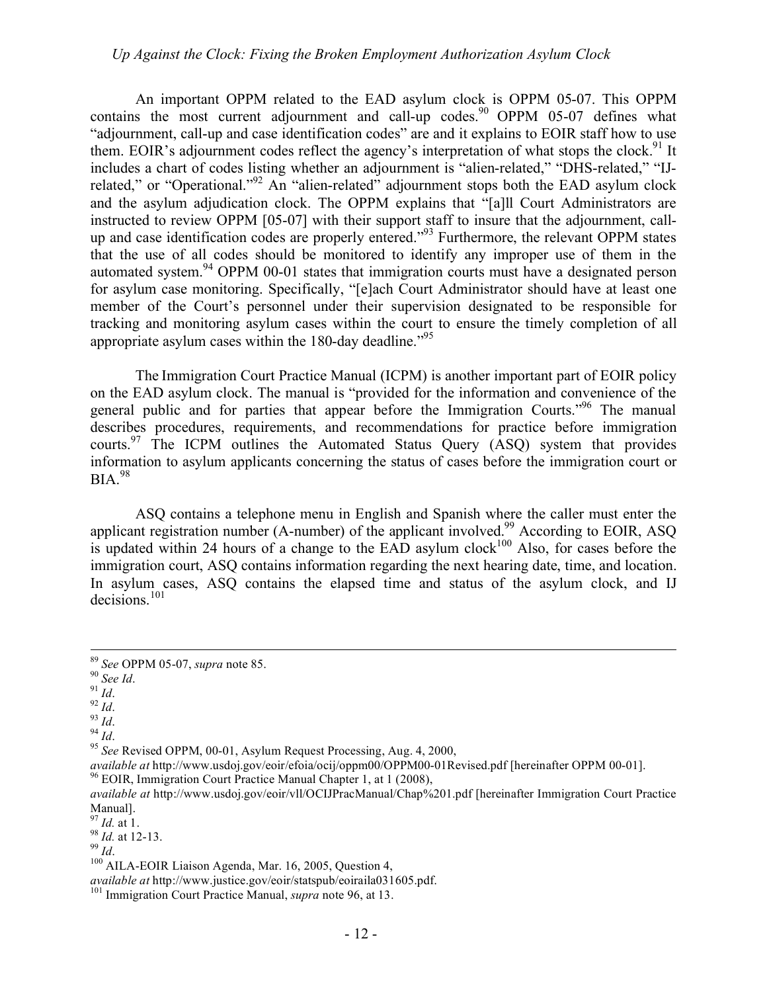An important OPPM related to the EAD asylum clock is OPPM 05-07. This OPPM contains the most current adjournment and call-up codes.<sup>90</sup> OPPM 05-07 defines what "adjournment, call-up and case identification codes" are and it explains to EOIR staff how to use them. EOIR's adjournment codes reflect the agency's interpretation of what stops the clock.<sup>91</sup> It includes a chart of codes listing whether an adjournment is "alien-related," "DHS-related," "IJrelated," or "Operational."<sup>92</sup> An "alien-related" adjournment stops both the EAD asylum clock and the asylum adjudication clock. The OPPM explains that "[a]ll Court Administrators are instructed to review OPPM [05-07] with their support staff to insure that the adjournment, callup and case identification codes are properly entered."<sup>93</sup> Furthermore, the relevant OPPM states that the use of all codes should be monitored to identify any improper use of them in the automated system.94 OPPM 00-01 states that immigration courts must have a designated person for asylum case monitoring. Specifically, "[e]ach Court Administrator should have at least one member of the Court's personnel under their supervision designated to be responsible for tracking and monitoring asylum cases within the court to ensure the timely completion of all appropriate asylum cases within the 180-day deadline.<sup>"95</sup>

The Immigration Court Practice Manual (ICPM) is another important part of EOIR policy on the EAD asylum clock. The manual is "provided for the information and convenience of the general public and for parties that appear before the Immigration Courts."96 The manual describes procedures, requirements, and recommendations for practice before immigration courts.<sup>97</sup> The ICPM outlines the Automated Status Query (ASQ) system that provides information to asylum applicants concerning the status of cases before the immigration court or  $BIA.<sup>98</sup>$ 

ASQ contains a telephone menu in English and Spanish where the caller must enter the applicant registration number (A-number) of the applicant involved.<sup>99</sup> According to EOIR, ASQ is updated within 24 hours of a change to the EAD asylum clock<sup>100</sup> Also, for cases before the immigration court, ASQ contains information regarding the next hearing date, time, and location. In asylum cases, ASQ contains the elapsed time and status of the asylum clock, and IJ decisions.<sup>101</sup>

<sup>89</sup> *See OPPM 05-07, <i>supra* note 85.<br>
90 *See Id.*<br>
91 *Id.*<br>
93 *Id.*<br>
94 *Id.*<br>
95 *See* Revised OPPM, 00-01, Asylum Request Processing, Aug. 4, 2000,

*available at* http://www.usdoj.gov/eoir/efoia/ocij/oppm00/OPPM00-01Revised.pdf [hereinafter OPPM 00-01].<br><sup>96</sup> EOIR, Immigration Court Practice Manual Chapter 1, at 1 (2008),

*available at* http://www.usdoj.gov/eoir/vll/OCIJPracManual/Chap%201.pdf [hereinafter Immigration Court Practice Manual].<br> $^{97}$  *Id.* at 1.

<sup>98</sup> *Id.* at 12-13.<br><sup>99</sup> *Id.* 100 AILA-EOIR Liaison Agenda, Mar. 16, 2005, Question 4, *available at* http://www.justice.gov/eoir/statspub/eoiraila031605.ndf.

<sup>&</sup>lt;sup>101</sup> Immigration Court Practice Manual, *supra* note 96, at 13.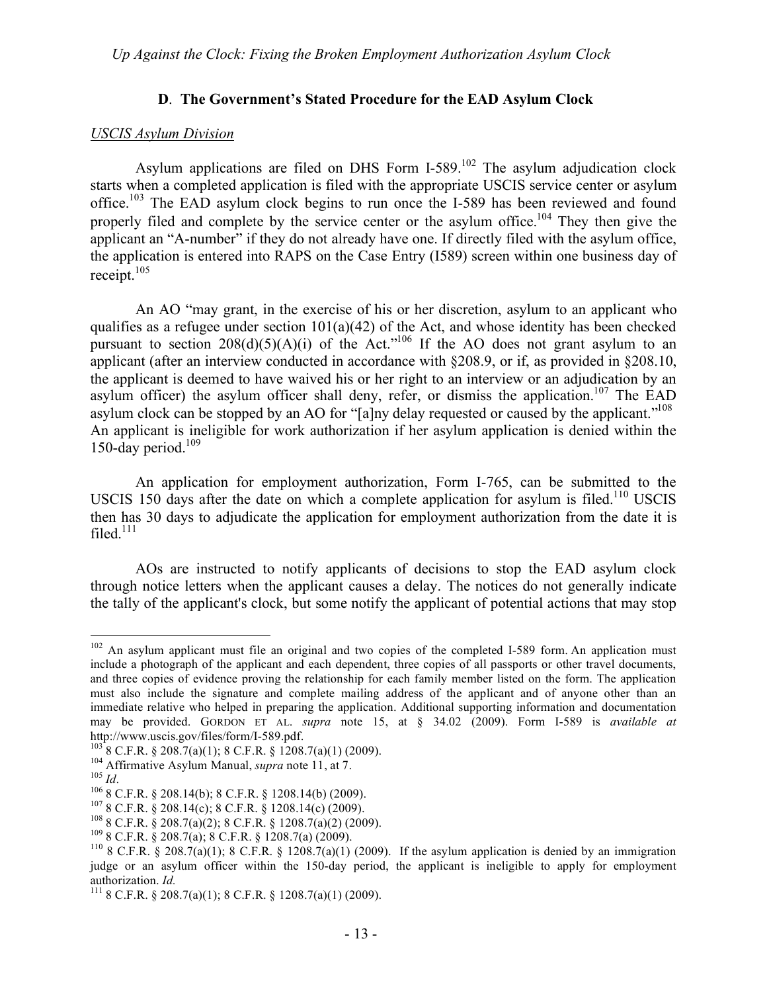## **D**. **The Government's Stated Procedure for the EAD Asylum Clock**

#### *USCIS Asylum Division*

Asylum applications are filed on DHS Form I-589.<sup>102</sup> The asylum adjudication clock starts when a completed application is filed with the appropriate USCIS service center or asylum office.<sup>103</sup> The EAD asylum clock begins to run once the I-589 has been reviewed and found properly filed and complete by the service center or the asylum office.<sup>104</sup> They then give the applicant an "A-number" if they do not already have one. If directly filed with the asylum office, the application is entered into RAPS on the Case Entry (I589) screen within one business day of receipt.105

An AO "may grant, in the exercise of his or her discretion, asylum to an applicant who qualifies as a refugee under section  $101(a)(42)$  of the Act, and whose identity has been checked pursuant to section  $208(d)(5)(A)(i)$  of the Act."<sup>106</sup> If the AO does not grant asylum to an applicant (after an interview conducted in accordance with §208.9, or if, as provided in §208.10, the applicant is deemed to have waived his or her right to an interview or an adjudication by an asylum officer) the asylum officer shall deny, refer, or dismiss the application.<sup>107</sup> The EAD asylum clock can be stopped by an AO for "[a]ny delay requested or caused by the applicant."<sup>108</sup> An applicant is ineligible for work authorization if her asylum application is denied within the 150-day period.<sup>109</sup>

An application for employment authorization, Form I-765, can be submitted to the USCIS 150 days after the date on which a complete application for asylum is filed.<sup>110</sup> USCIS then has 30 days to adjudicate the application for employment authorization from the date it is filed $111$ 

AOs are instructed to notify applicants of decisions to stop the EAD asylum clock through notice letters when the applicant causes a delay. The notices do not generally indicate the tally of the applicant's clock, but some notify the applicant of potential actions that may stop

<sup>&</sup>lt;sup>102</sup> An asylum applicant must file an original and two copies of the completed I-589 form. An application must include a photograph of the applicant and each dependent, three copies of all passports or other travel documents, and three copies of evidence proving the relationship for each family member listed on the form. The application must also include the signature and complete mailing address of the applicant and of anyone other than an immediate relative who helped in preparing the application. Additional supporting information and documentation may be provided. GORDON ET AL. *supra* note 15, at § 34.02 (2009). Form I-589 is *available at* http://www.uscis.gov/files/form/I-589.pdf.<br>
<sup>103</sup> 8 C.F.R. § 208.7(a)(1); 8 C.F.R. § 1208.7(a)(1) (2009).<br>
<sup>104</sup> Affirmative Asylum Manual, *supra* note 11, at 7.<br>
<sup>105</sup> 8 C.F.R. § 208.14(b); 8 C.F.R. § 1208.14(b) (2009).<br>

judge or an asylum officer within the 150-day period, the applicant is ineligible to apply for employment authorization. *Id.* 111 8 C.F.R. § 208.7(a)(1); 8 C.F.R. § 1208.7(a)(1) (2009).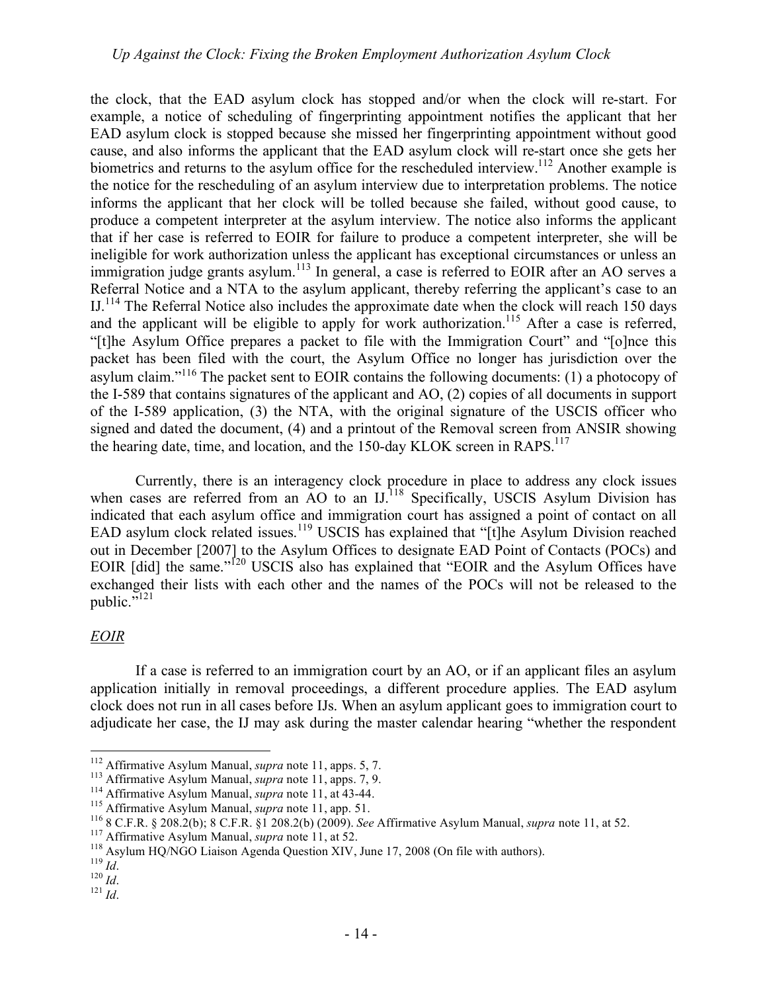the clock, that the EAD asylum clock has stopped and/or when the clock will re-start. For example, a notice of scheduling of fingerprinting appointment notifies the applicant that her EAD asylum clock is stopped because she missed her fingerprinting appointment without good cause, and also informs the applicant that the EAD asylum clock will re-start once she gets her biometrics and returns to the asylum office for the rescheduled interview.<sup>112</sup> Another example is the notice for the rescheduling of an asylum interview due to interpretation problems. The notice informs the applicant that her clock will be tolled because she failed, without good cause, to produce a competent interpreter at the asylum interview. The notice also informs the applicant that if her case is referred to EOIR for failure to produce a competent interpreter, she will be ineligible for work authorization unless the applicant has exceptional circumstances or unless an immigration judge grants asylum.<sup>113</sup> In general, a case is referred to EOIR after an AO serves a Referral Notice and a NTA to the asylum applicant, thereby referring the applicant's case to an IJ.<sup>114</sup> The Referral Notice also includes the approximate date when the clock will reach 150 days and the applicant will be eligible to apply for work authorization.<sup>115</sup> After a case is referred, "[t]he Asylum Office prepares a packet to file with the Immigration Court" and "[o]nce this packet has been filed with the court, the Asylum Office no longer has jurisdiction over the asylum claim."116 The packet sent to EOIR contains the following documents: (1) a photocopy of the I-589 that contains signatures of the applicant and AO, (2) copies of all documents in support of the I-589 application, (3) the NTA, with the original signature of the USCIS officer who signed and dated the document, (4) and a printout of the Removal screen from ANSIR showing the hearing date, time, and location, and the 150-day KLOK screen in  $RAPS<sup>117</sup>$ 

Currently, there is an interagency clock procedure in place to address any clock issues when cases are referred from an AO to an IJ.<sup>118</sup> Specifically, USCIS Asylum Division has indicated that each asylum office and immigration court has assigned a point of contact on all EAD asylum clock related issues.<sup>119</sup> USCIS has explained that " $[t]$ he Asylum Division reached out in December [2007] to the Asylum Offices to designate EAD Point of Contacts (POCs) and EOIR [did] the same."<sup>120</sup> USCIS also has explained that "EOIR and the Asylum Offices have exchanged their lists with each other and the names of the POCs will not be released to the public."<sup>121</sup>

# *EOIR*

If a case is referred to an immigration court by an AO, or if an applicant files an asylum application initially in removal proceedings, a different procedure applies. The EAD asylum clock does not run in all cases before IJs. When an asylum applicant goes to immigration court to adjudicate her case, the IJ may ask during the master calendar hearing "whether the respondent

<sup>&</sup>lt;sup>112</sup> Affirmative Asylum Manual, *supra* note 11, apps. 5, 7.<br><sup>113</sup> Affirmative Asylum Manual, *supra* note 11, apps. 7, 9.<br><sup>114</sup> Affirmative Asylum Manual, *supra* note 11, at 43-44.<br><sup>115</sup> Affirmative Asylum Manual, *sup*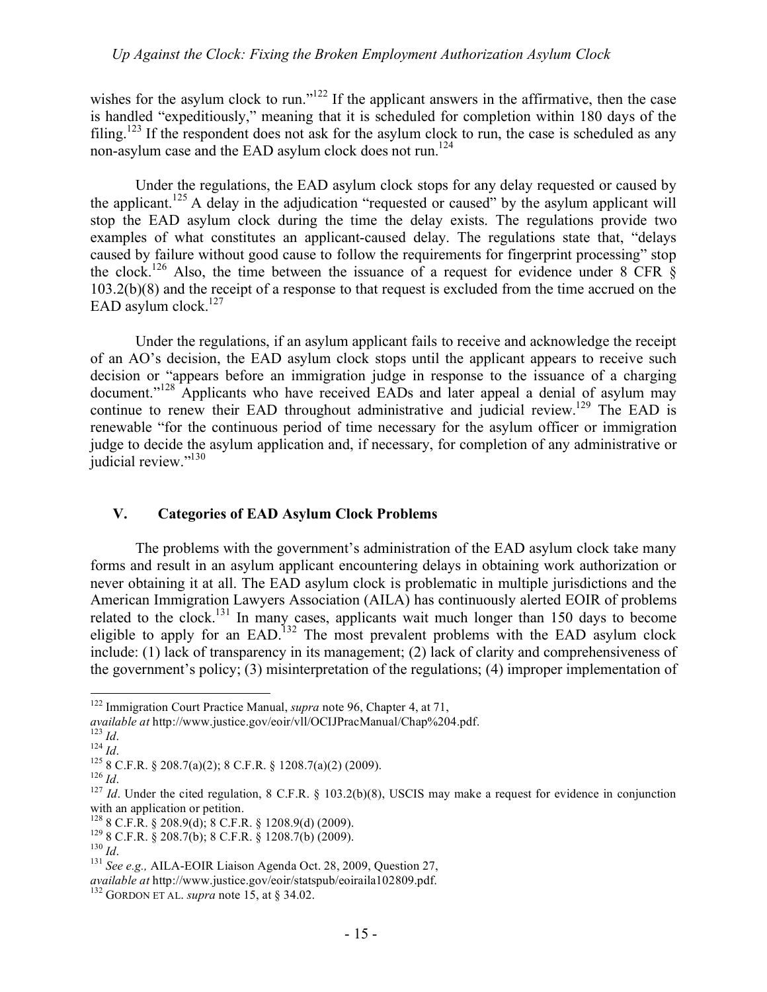wishes for the asylum clock to run."<sup>122</sup> If the applicant answers in the affirmative, then the case is handled "expeditiously," meaning that it is scheduled for completion within 180 days of the filing.<sup>123</sup> If the respondent does not ask for the asylum clock to run, the case is scheduled as any non-asylum case and the EAD asylum clock does not run.<sup>124</sup>

Under the regulations, the EAD asylum clock stops for any delay requested or caused by the applicant.<sup>125</sup> A delay in the adjudication "requested or caused" by the asylum applicant will stop the EAD asylum clock during the time the delay exists. The regulations provide two examples of what constitutes an applicant-caused delay. The regulations state that, "delays caused by failure without good cause to follow the requirements for fingerprint processing" stop the clock.<sup>126</sup> Also, the time between the issuance of a request for evidence under 8 CFR  $\hat{\S}$ 103.2(b)(8) and the receipt of a response to that request is excluded from the time accrued on the EAD asylum clock. $127$ 

Under the regulations, if an asylum applicant fails to receive and acknowledge the receipt of an AO's decision, the EAD asylum clock stops until the applicant appears to receive such decision or "appears before an immigration judge in response to the issuance of a charging document."<sup>128</sup> Applicants who have received EADs and later appeal a denial of asylum may continue to renew their EAD throughout administrative and judicial review.<sup>129</sup> The EAD is renewable "for the continuous period of time necessary for the asylum officer or immigration judge to decide the asylum application and, if necessary, for completion of any administrative or judicial review."<sup>130</sup>

#### **V. Categories of EAD Asylum Clock Problems**

The problems with the government's administration of the EAD asylum clock take many forms and result in an asylum applicant encountering delays in obtaining work authorization or never obtaining it at all. The EAD asylum clock is problematic in multiple jurisdictions and the American Immigration Lawyers Association (AILA) has continuously alerted EOIR of problems related to the clock.<sup>131</sup> In many cases, applicants wait much longer than 150 days to become eligible to apply for an EAD.<sup>132</sup> The most prevalent problems with the EAD asylum clock include: (1) lack of transparency in its management; (2) lack of clarity and comprehensiveness of the government's policy; (3) misinterpretation of the regulations; (4) improper implementation of

 <sup>122</sup> Immigration Court Practice Manual, *supra* note 96, Chapter 4, at 71,

available at http://www.justice.gov/eoir/vll/OCIJPracManual/Chap%204.pdf.<br>
<sup>123</sup> Id.<br>
<sup>124</sup> Id.<br>
<sup>125</sup> 8 C.F.R. § 208.7(a)(2); 8 C.F.R. § 1208.7(a)(2) (2009).<br>
<sup>126</sup> Id.<br>
<sup>127</sup> Id. Under the cited regulation, 8 C.F.R. § 1 with an application or petition.<br> $^{128}$  8 C.F.R. § 208.9(d); 8 C.F.R. § 1208.9(d) (2009).

<sup>&</sup>lt;sup>129</sup> 8 C.F.R. § 208.7(b); 8 C.F.R. § 1208.7(b) (2009).<br><sup>130</sup> *Id.* <sup>131</sup> *See e.g.*, AILA-EOIR Liaison Agenda Oct. 28, 2009, Question 27,

*available at* http://www.justice.gov/eoir/statspub/eoiraila102809.pdf. <sup>132</sup> GORDON ET AL. *supra* note 15, at § 34.02.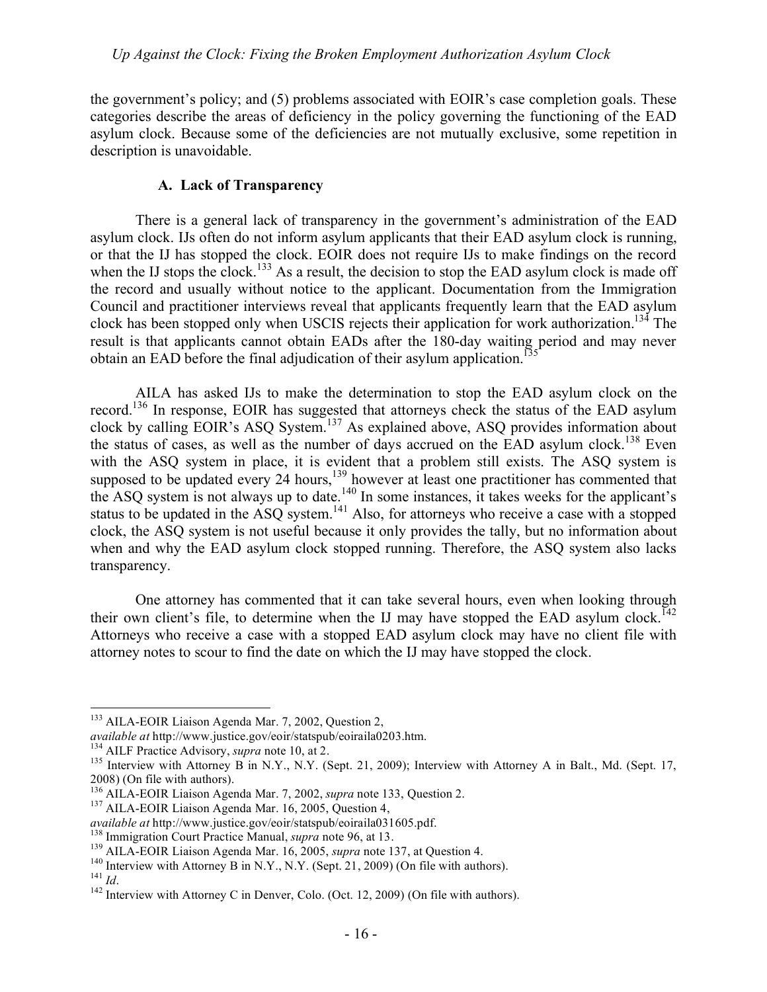the government's policy; and (5) problems associated with EOIR's case completion goals. These categories describe the areas of deficiency in the policy governing the functioning of the EAD asylum clock. Because some of the deficiencies are not mutually exclusive, some repetition in description is unavoidable.

# **A. Lack of Transparency**

There is a general lack of transparency in the government's administration of the EAD asylum clock. IJs often do not inform asylum applicants that their EAD asylum clock is running, or that the IJ has stopped the clock. EOIR does not require IJs to make findings on the record when the IJ stops the clock.<sup>133</sup> As a result, the decision to stop the EAD asylum clock is made off the record and usually without notice to the applicant. Documentation from the Immigration Council and practitioner interviews reveal that applicants frequently learn that the EAD asylum clock has been stopped only when USCIS rejects their application for work authorization.<sup>134</sup> The result is that applicants cannot obtain EADs after the 180-day waiting period and may never obtain an EAD before the final adjudication of their asylum application.<sup>13</sup>

AILA has asked IJs to make the determination to stop the EAD asylum clock on the record.136 In response, EOIR has suggested that attorneys check the status of the EAD asylum clock by calling EOIR's ASQ System.<sup>137</sup> As explained above, ASQ provides information about the status of cases, as well as the number of days accrued on the EAD asylum clock.<sup>138</sup> Even with the ASQ system in place, it is evident that a problem still exists. The ASQ system is supposed to be updated every 24 hours,<sup>139</sup> however at least one practitioner has commented that the ASQ system is not always up to date.<sup>140</sup> In some instances, it takes weeks for the applicant's status to be updated in the ASO system.<sup>141</sup> Also, for attorneys who receive a case with a stopped clock, the ASQ system is not useful because it only provides the tally, but no information about when and why the EAD asylum clock stopped running. Therefore, the ASQ system also lacks transparency.

One attorney has commented that it can take several hours, even when looking through their own client's file, to determine when the IJ may have stopped the EAD asylum clock.<sup>142</sup> Attorneys who receive a case with a stopped EAD asylum clock may have no client file with attorney notes to scour to find the date on which the IJ may have stopped the clock.

<sup>&</sup>lt;sup>133</sup> AILA-EOIR Liaison Agenda Mar. 7, 2002, Question 2,

available at http://www.justice.gov/eoir/statspub/eoiraila0203.htm.<br><sup>134</sup> AILF Practice Advisory, *supra* note 10, at 2.<br><sup>135</sup> Interview with Attorney B in N.Y., N.Y. (Sept. 21, 2009); Interview with Attorney A in Balt., M 2008) (On file with authors).

<sup>&</sup>lt;sup>136</sup> AILA-EOIR Liaison Agenda Mar. 7, 2002, *supra* note 133, Question 2.<br><sup>137</sup> AILA-EOIR Liaison Agenda Mar. 16, 2005, Question 4,

*available at http://www.justice.gov/eoir/statspub/eoiraila031605.pdf.*<br><sup>138</sup> Immigration Court Practice Manual, *supra* note 96, at 13.<br><sup>139</sup> AILA-EOIR Liaison Agenda Mar. 16, 2005, *supra* note 137, at Question 4.<br><sup>140</sup>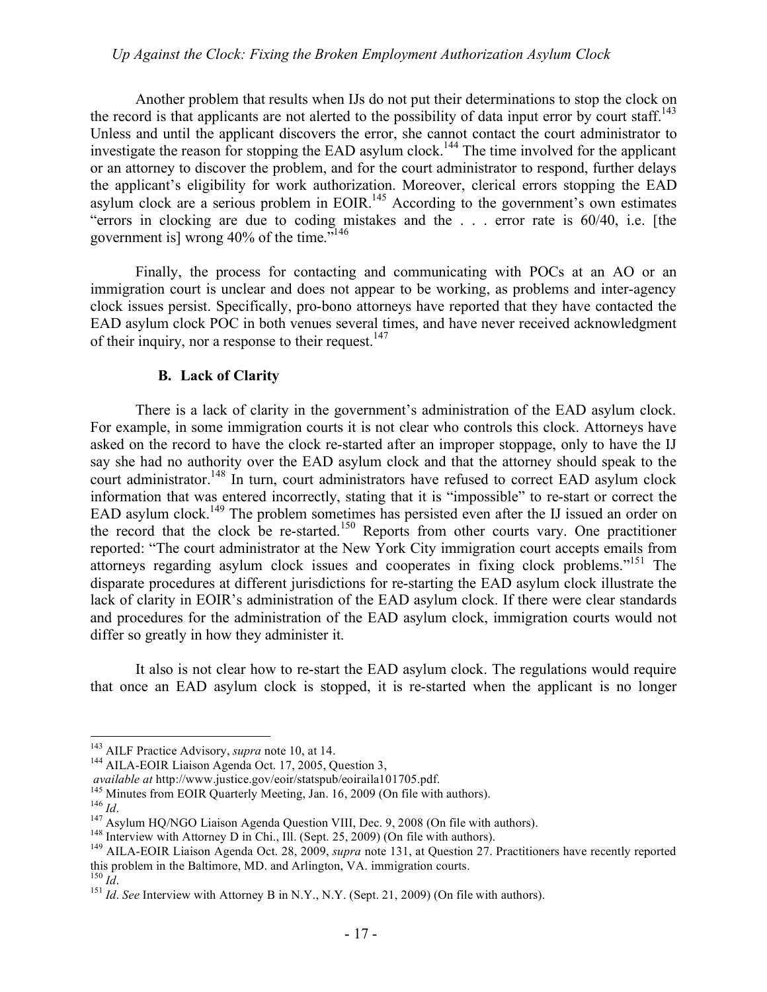Another problem that results when IJs do not put their determinations to stop the clock on the record is that applicants are not alerted to the possibility of data input error by court staff.<sup>143</sup> Unless and until the applicant discovers the error, she cannot contact the court administrator to investigate the reason for stopping the EAD asylum clock.<sup>144</sup> The time involved for the applicant or an attorney to discover the problem, and for the court administrator to respond, further delays the applicant's eligibility for work authorization. Moreover, clerical errors stopping the EAD asylum clock are a serious problem in EOIR.<sup>145</sup> According to the government's own estimates "errors in clocking are due to coding mistakes and the . . . error rate is 60/40, i.e. [the government is] wrong 40% of the time."146

Finally, the process for contacting and communicating with POCs at an AO or an immigration court is unclear and does not appear to be working, as problems and inter-agency clock issues persist. Specifically, pro-bono attorneys have reported that they have contacted the EAD asylum clock POC in both venues several times, and have never received acknowledgment of their inquiry, nor a response to their request.<sup>147</sup>

#### **B. Lack of Clarity**

There is a lack of clarity in the government's administration of the EAD asylum clock. For example, in some immigration courts it is not clear who controls this clock. Attorneys have asked on the record to have the clock re-started after an improper stoppage, only to have the IJ say she had no authority over the EAD asylum clock and that the attorney should speak to the court administrator.<sup>148</sup> In turn, court administrators have refused to correct EAD asylum clock information that was entered incorrectly, stating that it is "impossible" to re-start or correct the EAD asylum clock.<sup>149</sup> The problem sometimes has persisted even after the IJ issued an order on the record that the clock be re-started.<sup>150</sup> Reports from other courts vary. One practitioner reported: "The court administrator at the New York City immigration court accepts emails from attorneys regarding asylum clock issues and cooperates in fixing clock problems."151 The disparate procedures at different jurisdictions for re-starting the EAD asylum clock illustrate the lack of clarity in EOIR's administration of the EAD asylum clock. If there were clear standards and procedures for the administration of the EAD asylum clock, immigration courts would not differ so greatly in how they administer it.

It also is not clear how to re-start the EAD asylum clock. The regulations would require that once an EAD asylum clock is stopped, it is re-started when the applicant is no longer

<sup>&</sup>lt;sup>143</sup> AILF Practice Advisory, *supra* note 10, at 14.<br><sup>144</sup> AILA-EOIR Liaison Agenda Oct. 17, 2005, Question 3,<br>*available at* http://www.justice.gov/eoir/statspub/eoiraila101705.pdf.

<sup>&</sup>lt;sup>145</sup> Minutes from EOIR Quarterly Meeting, Jan. 16, 2009 (On file with authors).<br><sup>146</sup> *Id.*<br><sup>147</sup> Asylum HQ/NGO Liaison Agenda Question VIII, Dec. 9, 2008 (On file with authors).<br><sup>148</sup> Interview with Attorney D in Chi., this problem in the Baltimore, MD. and Arlington, VA. immigration courts.  $^{150}$  *IA* 

<sup>&</sup>lt;sup>151</sup> *Id. See* Interview with Attorney B in N.Y., N.Y. (Sept. 21, 2009) (On file with authors).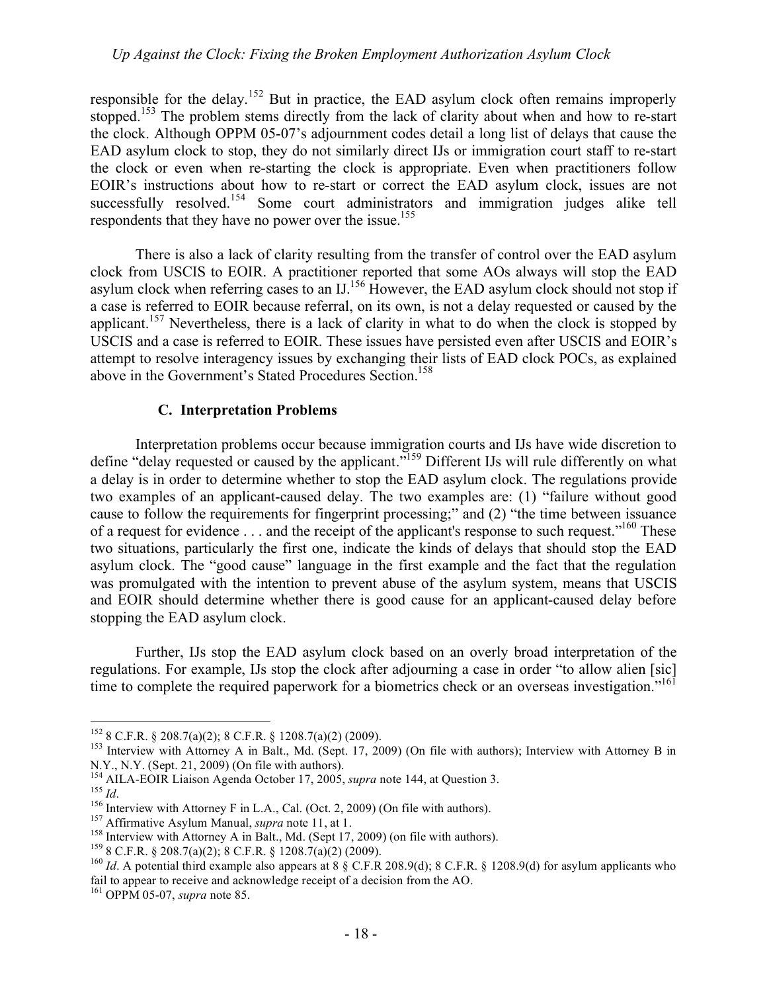responsible for the delay.<sup>152</sup> But in practice, the EAD asylum clock often remains improperly stopped.<sup>153</sup> The problem stems directly from the lack of clarity about when and how to re-start the clock. Although OPPM 05-07's adjournment codes detail a long list of delays that cause the EAD asylum clock to stop, they do not similarly direct IJs or immigration court staff to re-start the clock or even when re-starting the clock is appropriate. Even when practitioners follow EOIR's instructions about how to re-start or correct the EAD asylum clock, issues are not successfully resolved.<sup>154</sup> Some court administrators and immigration judges alike tell respondents that they have no power over the issue.<sup>155</sup>

There is also a lack of clarity resulting from the transfer of control over the EAD asylum clock from USCIS to EOIR. A practitioner reported that some AOs always will stop the EAD asylum clock when referring cases to an IJ.<sup>156</sup> However, the EAD asylum clock should not stop if a case is referred to EOIR because referral, on its own, is not a delay requested or caused by the applicant.<sup>157</sup> Nevertheless, there is a lack of clarity in what to do when the clock is stopped by USCIS and a case is referred to EOIR. These issues have persisted even after USCIS and EOIR's attempt to resolve interagency issues by exchanging their lists of EAD clock POCs, as explained above in the Government's Stated Procedures Section.<sup>158</sup>

# **C. Interpretation Problems**

Interpretation problems occur because immigration courts and IJs have wide discretion to define "delay requested or caused by the applicant."159 Different IJs will rule differently on what a delay is in order to determine whether to stop the EAD asylum clock. The regulations provide two examples of an applicant-caused delay. The two examples are: (1) "failure without good cause to follow the requirements for fingerprint processing;" and (2) "the time between issuance of a request for evidence  $\dots$  and the receipt of the applicant's response to such request."<sup>160</sup> These two situations, particularly the first one, indicate the kinds of delays that should stop the EAD asylum clock. The "good cause" language in the first example and the fact that the regulation was promulgated with the intention to prevent abuse of the asylum system, means that USCIS and EOIR should determine whether there is good cause for an applicant-caused delay before stopping the EAD asylum clock.

Further, IJs stop the EAD asylum clock based on an overly broad interpretation of the regulations. For example, IJs stop the clock after adjourning a case in order "to allow alien [sic] time to complete the required paperwork for a biometrics check or an overseas investigation.<sup>"161</sup>

<sup>&</sup>lt;sup>152</sup> 8 C.F.R. § 208.7(a)(2); 8 C.F.R. § 1208.7(a)(2) (2009).<br><sup>153</sup> Interview with Attorney A in Balt., Md. (Sept. 17, 2009) (On file with authors); Interview with Attorney B in N.Y., N.Y. (Sept. 21, 2009) (On file with authors).<br><sup>154</sup> AILA-EOIR Liaison Agenda October 17, 2005, *supra* note 144, at Question 3.

<sup>&</sup>lt;sup>156</sup> Interview with Attorney F in L.A., Cal. (Oct. 2, 2009) (On file with authors).<br><sup>157</sup> Affirmative Asylum Manual, *supra* note 11, at 1.<br><sup>157</sup> Beneficient with Attorney A in Balt., Md. (Sept 17, 2009) (on file with au fail to appear to receive and acknowledge receipt of a decision from the AO. 161 OPPM 05-07, *supra* note 85.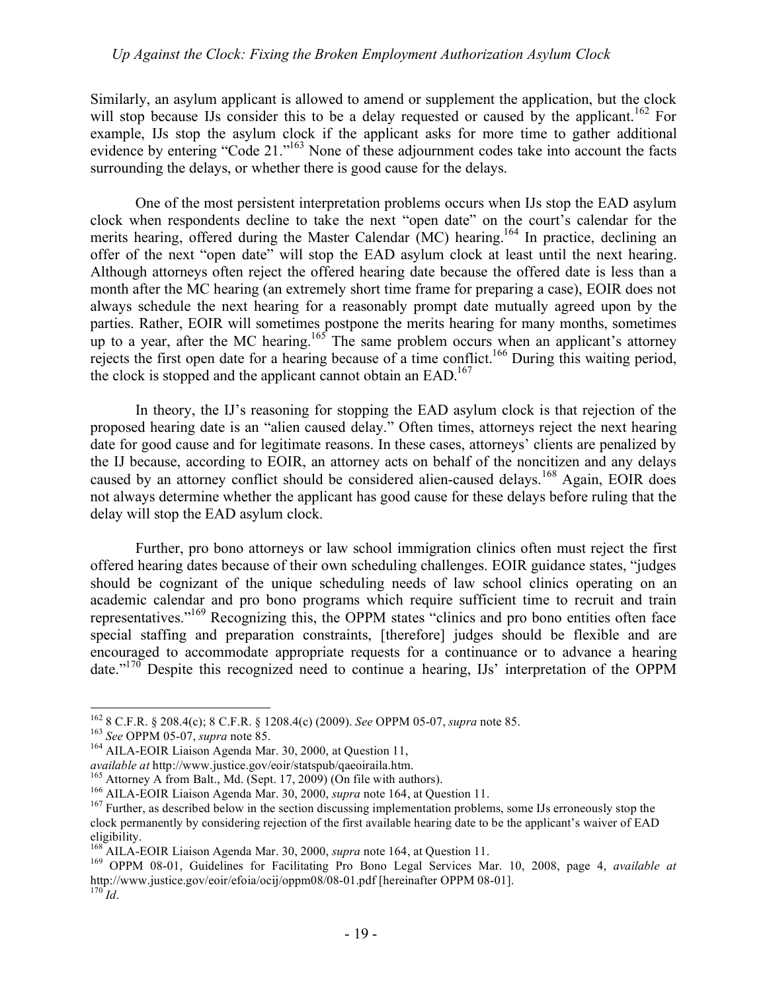Similarly, an asylum applicant is allowed to amend or supplement the application, but the clock will stop because IJs consider this to be a delay requested or caused by the applicant.<sup>162</sup> For example, IJs stop the asylum clock if the applicant asks for more time to gather additional evidence by entering "Code 21."<sup>163</sup> None of these adjournment codes take into account the facts surrounding the delays, or whether there is good cause for the delays.

One of the most persistent interpretation problems occurs when IJs stop the EAD asylum clock when respondents decline to take the next "open date" on the court's calendar for the merits hearing, offered during the Master Calendar (MC) hearing.<sup>164</sup> In practice, declining an offer of the next "open date" will stop the EAD asylum clock at least until the next hearing. Although attorneys often reject the offered hearing date because the offered date is less than a month after the MC hearing (an extremely short time frame for preparing a case), EOIR does not always schedule the next hearing for a reasonably prompt date mutually agreed upon by the parties. Rather, EOIR will sometimes postpone the merits hearing for many months, sometimes up to a year, after the MC hearing.<sup>165</sup> The same problem occurs when an applicant's attorney rejects the first open date for a hearing because of a time conflict.<sup>166</sup> During this waiting period, the clock is stopped and the applicant cannot obtain an  $EAD$ <sup>167</sup>

In theory, the IJ's reasoning for stopping the EAD asylum clock is that rejection of the proposed hearing date is an "alien caused delay." Often times, attorneys reject the next hearing date for good cause and for legitimate reasons. In these cases, attorneys' clients are penalized by the IJ because, according to EOIR, an attorney acts on behalf of the noncitizen and any delays caused by an attorney conflict should be considered alien-caused delays.<sup>168</sup> Again, EOIR does not always determine whether the applicant has good cause for these delays before ruling that the delay will stop the EAD asylum clock.

Further, pro bono attorneys or law school immigration clinics often must reject the first offered hearing dates because of their own scheduling challenges. EOIR guidance states, "judges should be cognizant of the unique scheduling needs of law school clinics operating on an academic calendar and pro bono programs which require sufficient time to recruit and train representatives."169 Recognizing this, the OPPM states "clinics and pro bono entities often face special staffing and preparation constraints, [therefore] judges should be flexible and are encouraged to accommodate appropriate requests for a continuance or to advance a hearing date."170 Despite this recognized need to continue a hearing, IJs' interpretation of the OPPM

<sup>&</sup>lt;sup>162</sup> 8 C.F.R. § 208.4(c); 8 C.F.R. § 1208.4(c) (2009). *See* OPPM 05-07, *supra* note 85.<br><sup>163</sup> *See* OPPM 05-07, *supra* note 85.<br><sup>164</sup> AILA-EOIR Liaison Agenda Mar. 30, 2000, at Question 11,<br>*available at* http://www.ju

<sup>&</sup>lt;sup>165</sup> Attorney A from Balt., Md. (Sept. 17, 2009) (On file with authors).<br><sup>166</sup> AILA-EOIR Liaison Agenda Mar. 30, 2000, *supra* note 164, at Question 11.<br><sup>167</sup> Further, as described below in the section discussing impleme clock permanently by considering rejection of the first available hearing date to be the applicant's waiver of EAD

eligibility.<br><sup>168</sup> AILA-EOIR Liaison Agenda Mar. 30, 2000, *supra* note 164, at Question 11.

<sup>&</sup>lt;sup>169</sup> OPPM 08-01, Guidelines for Facilitating Pro Bono Legal Services Mar. 10, 2008, page 4, *available at* http://www.justice.gov/eoir/efoia/ocij/oppm08/08-01.pdf [hereinafter OPPM 08-01]. <sup>170</sup> *Id*.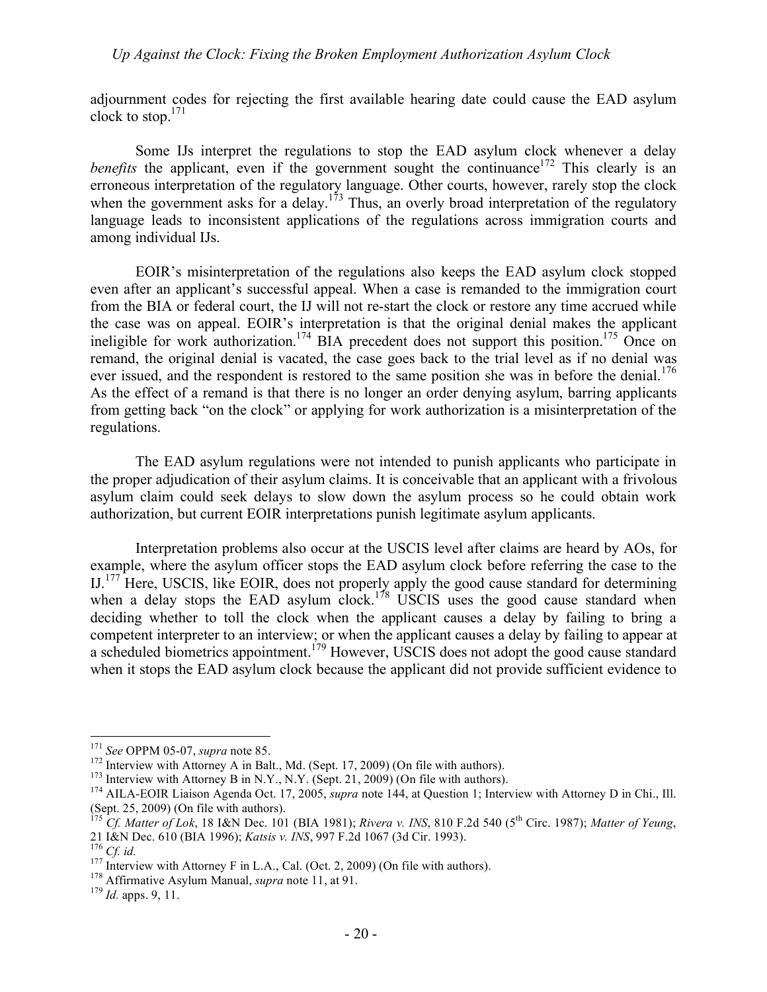adjournment codes for rejecting the first available hearing date could cause the EAD asylum clock to stop.171

Some IJs interpret the regulations to stop the EAD asylum clock whenever a delay *benefits* the applicant, even if the government sought the continuance<sup>172</sup> This clearly is an erroneous interpretation of the regulatory language. Other courts, however, rarely stop the clock when the government asks for a delay.<sup>173</sup> Thus, an overly broad interpretation of the regulatory language leads to inconsistent applications of the regulations across immigration courts and among individual IJs.

EOIR's misinterpretation of the regulations also keeps the EAD asylum clock stopped even after an applicant's successful appeal. When a case is remanded to the immigration court from the BIA or federal court, the IJ will not re-start the clock or restore any time accrued while the case was on appeal. EOIR's interpretation is that the original denial makes the applicant ineligible for work authorization.<sup>174</sup> BIA precedent does not support this position.<sup>175</sup> Once on remand, the original denial is vacated, the case goes back to the trial level as if no denial was ever issued, and the respondent is restored to the same position she was in before the denial.<sup>176</sup> As the effect of a remand is that there is no longer an order denying asylum, barring applicants from getting back "on the clock" or applying for work authorization is a misinterpretation of the regulations.

The EAD asylum regulations were not intended to punish applicants who participate in the proper adjudication of their asylum claims. It is conceivable that an applicant with a frivolous asylum claim could seek delays to slow down the asylum process so he could obtain work authorization, but current EOIR interpretations punish legitimate asylum applicants.

Interpretation problems also occur at the USCIS level after claims are heard by AOs, for example, where the asylum officer stops the EAD asylum clock before referring the case to the IJ.<sup>177</sup> Here, USCIS, like EOIR, does not properly apply the good cause standard for determining when a delay stops the EAD asylum clock.<sup>178</sup> USCIS uses the good cause standard when deciding whether to toll the clock when the applicant causes a delay by failing to bring a competent interpreter to an interview; or when the applicant causes a delay by failing to appear at a scheduled biometrics appointment.<sup>179</sup> However, USCIS does not adopt the good cause standard when it stops the EAD asylum clock because the applicant did not provide sufficient evidence to

<sup>&</sup>lt;sup>171</sup> See OPPM 05-07, *supra* note 85.<br><sup>172</sup> Interview with Attorney A in Balt., Md. (Sept. 17, 2009) (On file with authors).<br><sup>173</sup> Interview with Attorney B in N.Y., N.Y. (Sept. 21, 2009) (On file with authors).<br><sup>174</sup> AI (Sept. 25, 2009) (On file with authors).

<sup>175</sup> *Cf. Matter of Lok*, 18 I&N Dec. 101 (BIA 1981); *Rivera v. INS*, 810 F.2d 540 (5th Circ. 1987); *Matter of Yeung*, 21 I&N Dec. 610 (BIA 1996); *Katsis v. INS*, 997 F.2d 1067 (3d Cir. 1993).<br><sup>176</sup> Cf. id.<br><sup>177</sup> Interview with Attorney F in L.A., Cal. (Oct. 2, 2009) (On file with authors).<br><sup>178</sup> Affirmative Asylum Manual, *supra* note 1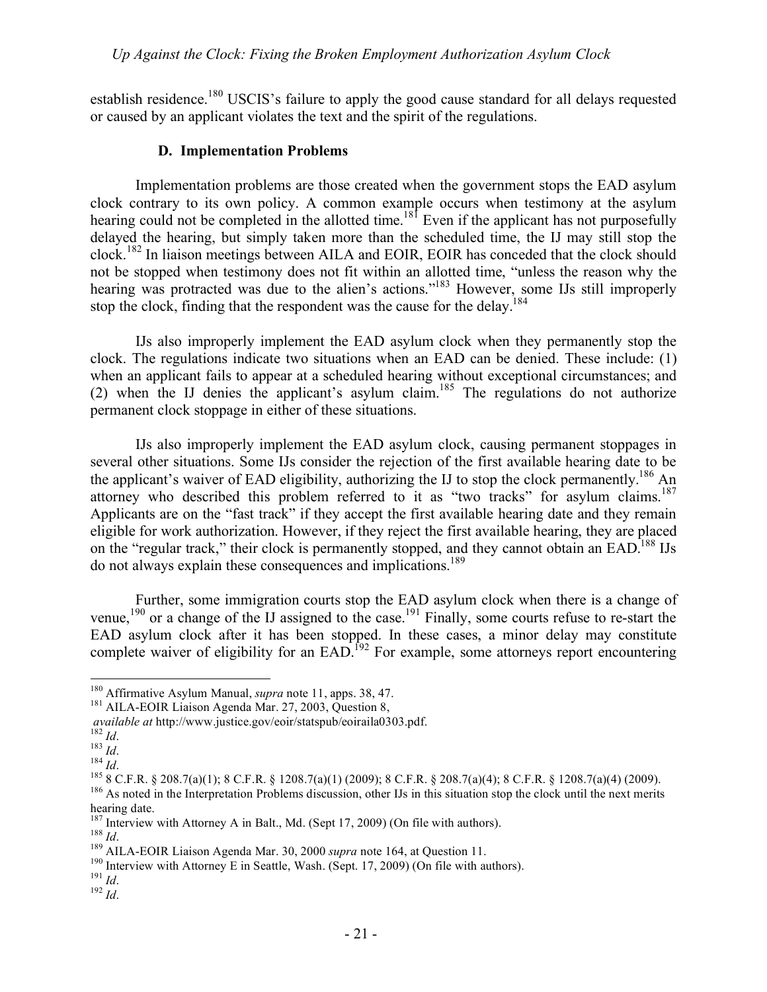establish residence.<sup>180</sup> USCIS's failure to apply the good cause standard for all delays requested or caused by an applicant violates the text and the spirit of the regulations.

## **D. Implementation Problems**

Implementation problems are those created when the government stops the EAD asylum clock contrary to its own policy. A common example occurs when testimony at the asylum hearing could not be completed in the allotted time.<sup>181</sup> Even if the applicant has not purposefully delayed the hearing, but simply taken more than the scheduled time, the IJ may still stop the clock.<sup>182</sup> In liaison meetings between AILA and EOIR, EOIR has conceded that the clock should not be stopped when testimony does not fit within an allotted time, "unless the reason why the hearing was protracted was due to the alien's actions."<sup>183</sup> However, some IJs still improperly stop the clock, finding that the respondent was the cause for the delay.<sup>184</sup>

IJs also improperly implement the EAD asylum clock when they permanently stop the clock. The regulations indicate two situations when an EAD can be denied. These include: (1) when an applicant fails to appear at a scheduled hearing without exceptional circumstances; and (2) when the IJ denies the applicant's asylum claim.<sup>185</sup> The regulations do not authorize permanent clock stoppage in either of these situations.

IJs also improperly implement the EAD asylum clock, causing permanent stoppages in several other situations. Some IJs consider the rejection of the first available hearing date to be the applicant's waiver of EAD eligibility, authorizing the IJ to stop the clock permanently.<sup>186</sup> An attorney who described this problem referred to it as "two tracks" for asylum claims.<sup>187</sup> Applicants are on the "fast track" if they accept the first available hearing date and they remain eligible for work authorization. However, if they reject the first available hearing, they are placed on the "regular track," their clock is permanently stopped, and they cannot obtain an EAD.<sup>188</sup> IJs do not always explain these consequences and implications.<sup>189</sup>

Further, some immigration courts stop the EAD asylum clock when there is a change of venue,<sup>190</sup> or a change of the IJ assigned to the case.<sup>191</sup> Finally, some courts refuse to re-start the EAD asylum clock after it has been stopped. In these cases, a minor delay may constitute complete waiver of eligibility for an EAD.<sup>192</sup> For example, some attorneys report encountering

<sup>&</sup>lt;sup>180</sup> Affirmative Asylum Manual, *supra* note 11, apps. 38, 47.<br><sup>181</sup> AILA-EOIR Liaison Agenda Mar. 27, 2003, Question 8,

*available at http://www.justice.gov/eoir/statspub/eoiraila0303.pdf.*<br>
<sup>182</sup> *Id.*<br>
<sup>183</sup> *Id.*<br>
<sup>184</sup> *Id.*<br>
<sup>184</sup> *Id.*<br>
<sup>184</sup> *Id.*<br>
<sup>184</sup> *Id.*<br>
<sup>184</sup> *Id.*<br>
<sup>185</sup> 8 C.F.R. § 208.7(a)(1); 8 C.F.R. § 1208.7(a)(1) (2009

hearing date.<br><sup>187</sup> Interview with Attorney A in Balt., Md. (Sept 17, 2009) (On file with authors).

<sup>&</sup>lt;sup>189</sup> *Id.*<br><sup>189</sup> AILA-EOIR Liaison Agenda Mar. 30, 2000 *supra* note 164, at Question 11.<br><sup>190</sup> Interview with Attorney E in Seattle, Wash. (Sept. 17, 2009) (On file with authors).<br><sup>191</sup> *Id.*<br><sup>192</sup> *Id.*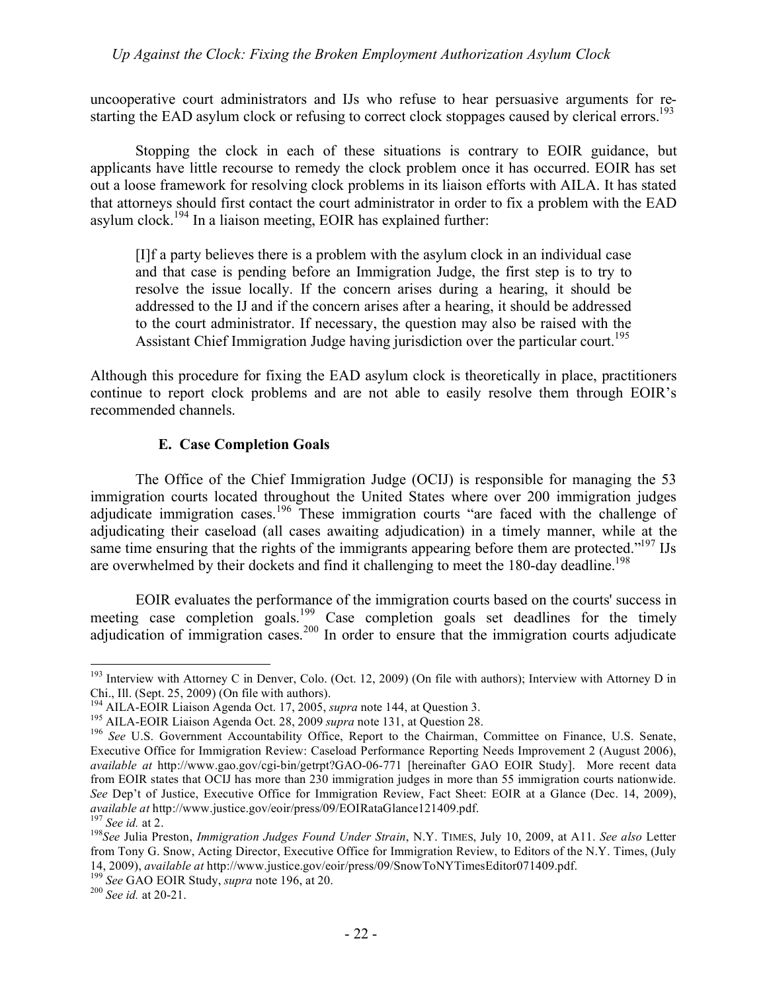uncooperative court administrators and IJs who refuse to hear persuasive arguments for restarting the EAD asylum clock or refusing to correct clock stoppages caused by clerical errors.<sup>193</sup>

Stopping the clock in each of these situations is contrary to EOIR guidance, but applicants have little recourse to remedy the clock problem once it has occurred. EOIR has set out a loose framework for resolving clock problems in its liaison efforts with AILA. It has stated that attorneys should first contact the court administrator in order to fix a problem with the EAD asylum clock.<sup>194</sup> In a liaison meeting, EOIR has explained further:

[I]f a party believes there is a problem with the asylum clock in an individual case and that case is pending before an Immigration Judge, the first step is to try to resolve the issue locally. If the concern arises during a hearing, it should be addressed to the IJ and if the concern arises after a hearing, it should be addressed to the court administrator. If necessary, the question may also be raised with the Assistant Chief Immigration Judge having jurisdiction over the particular court.<sup>195</sup>

Although this procedure for fixing the EAD asylum clock is theoretically in place, practitioners continue to report clock problems and are not able to easily resolve them through EOIR's recommended channels.

#### **E. Case Completion Goals**

The Office of the Chief Immigration Judge (OCIJ) is responsible for managing the 53 immigration courts located throughout the United States where over 200 immigration judges adjudicate immigration cases.196 These immigration courts "are faced with the challenge of adjudicating their caseload (all cases awaiting adjudication) in a timely manner, while at the same time ensuring that the rights of the immigrants appearing before them are protected." $197$  IJs are overwhelmed by their dockets and find it challenging to meet the 180-day deadline.<sup>198</sup>

EOIR evaluates the performance of the immigration courts based on the courts' success in meeting case completion goals.<sup>199</sup> Case completion goals set deadlines for the timely adjudication of immigration cases.<sup>200</sup> In order to ensure that the immigration courts adjudicate

<sup>&</sup>lt;sup>193</sup> Interview with Attorney C in Denver, Colo. (Oct. 12, 2009) (On file with authors); Interview with Attorney D in Chi., Ill. (Sept. 25, 2009) (On file with authors).

<sup>&</sup>lt;sup>194</sup> AILA-EOIR Liaison Agenda Oct. 17, 2005, *supra* note 144, at Question 3.<br><sup>195</sup> AILA-EOIR Liaison Agenda Oct. 28, 2009 *supra* note 131, at Question 28.<br><sup>196</sup> See U.S. Government Accountability Office, Report to the C Executive Office for Immigration Review: Caseload Performance Reporting Needs Improvement 2 (August 2006), *available at* http://www.gao.gov/cgi-bin/getrpt?GAO-06-771 [hereinafter GAO EOIR Study]. More recent data from EOIR states that OCIJ has more than 230 immigration judges in more than 55 immigration courts nationwide. See Dep't of Justice, Executive Office for Immigration Review, Fact Sheet: EOIR at a Glance (Dec. 14, 2009), *available at* http://www.justice.gov/eoir/press/09/EOIRataGlance121409.pdf.

<sup>&</sup>lt;sup>197</sup> See id. at 2.<br><sup>198</sup> See Julia Preston. *Immigration Judges Found Under Strain*, N.Y. TIMES, July 10, 2009, at A11. See also Letter from Tony G. Snow, Acting Director, Executive Office for Immigration Review, to Editors of the N.Y. Times, (July 14, 2009), *available at* http://www.justice.gov/eoir/press/09/SnowToNYTimesEditor071409.pdf. <sup>199</sup> *See* GAO EOIR Study, *supra* note 196, at 20. <sup>200</sup> *See id.* at 20-21.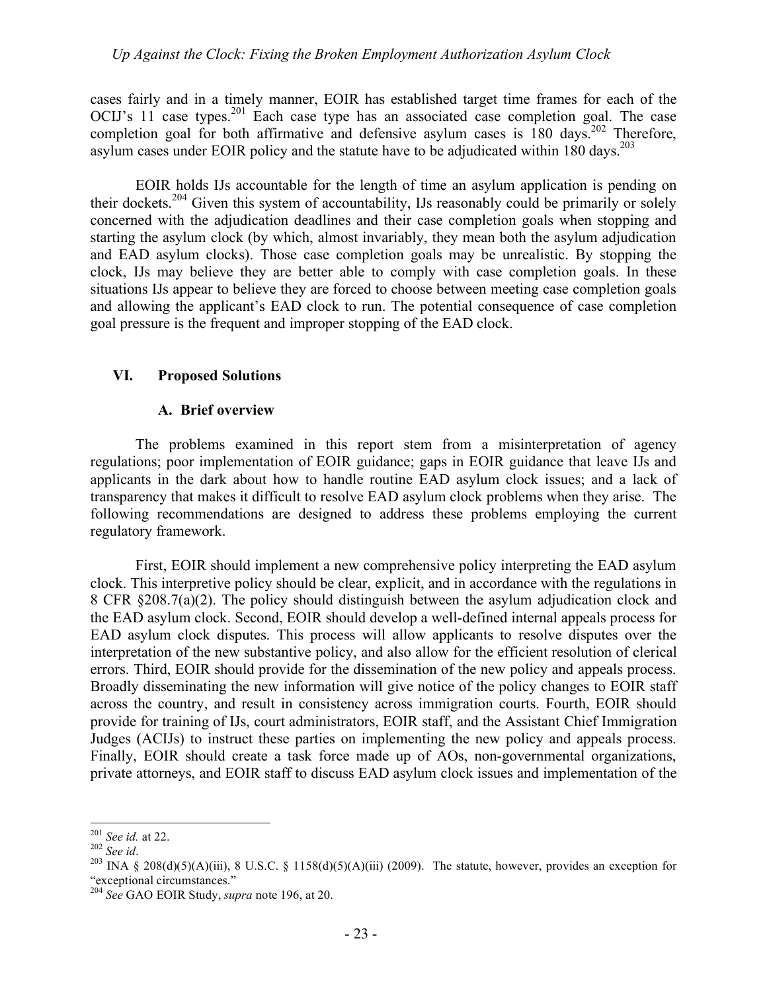cases fairly and in a timely manner, EOIR has established target time frames for each of the OCIJ's 11 case types.<sup>201</sup> Each case type has an associated case completion goal. The case completion goal for both affirmative and defensive asylum cases is  $180 \text{ days}$ .<sup>202</sup> Therefore, asylum cases under EOIR policy and the statute have to be adjudicated within 180 days.<sup>203</sup>

EOIR holds IJs accountable for the length of time an asylum application is pending on their dockets.<sup>204</sup> Given this system of accountability, IJs reasonably could be primarily or solely concerned with the adjudication deadlines and their case completion goals when stopping and starting the asylum clock (by which, almost invariably, they mean both the asylum adjudication and EAD asylum clocks). Those case completion goals may be unrealistic. By stopping the clock, IJs may believe they are better able to comply with case completion goals. In these situations IJs appear to believe they are forced to choose between meeting case completion goals and allowing the applicant's EAD clock to run. The potential consequence of case completion goal pressure is the frequent and improper stopping of the EAD clock.

#### **VI. Proposed Solutions**

#### **A. Brief overview**

The problems examined in this report stem from a misinterpretation of agency regulations; poor implementation of EOIR guidance; gaps in EOIR guidance that leave IJs and applicants in the dark about how to handle routine EAD asylum clock issues; and a lack of transparency that makes it difficult to resolve EAD asylum clock problems when they arise. The following recommendations are designed to address these problems employing the current regulatory framework.

First, EOIR should implement a new comprehensive policy interpreting the EAD asylum clock. This interpretive policy should be clear, explicit, and in accordance with the regulations in 8 CFR §208.7(a)(2). The policy should distinguish between the asylum adjudication clock and the EAD asylum clock. Second, EOIR should develop a well-defined internal appeals process for EAD asylum clock disputes. This process will allow applicants to resolve disputes over the interpretation of the new substantive policy, and also allow for the efficient resolution of clerical errors. Third, EOIR should provide for the dissemination of the new policy and appeals process. Broadly disseminating the new information will give notice of the policy changes to EOIR staff across the country, and result in consistency across immigration courts. Fourth, EOIR should provide for training of IJs, court administrators, EOIR staff, and the Assistant Chief Immigration Judges (ACIJs) to instruct these parties on implementing the new policy and appeals process. Finally, EOIR should create a task force made up of AOs, non-governmental organizations, private attorneys, and EOIR staff to discuss EAD asylum clock issues and implementation of the

<sup>&</sup>lt;sup>201</sup> *See id.* at 22.<br><sup>202</sup> *See id.* 203 INA § 208(d)(5)(A)(iii), 8 U.S.C. § 1158(d)(5)(A)(iii) (2009). The statute, however, provides an exception for "exceptional circumstances."

<sup>204</sup> *See* GAO EOIR Study, *supra* note 196, at 20.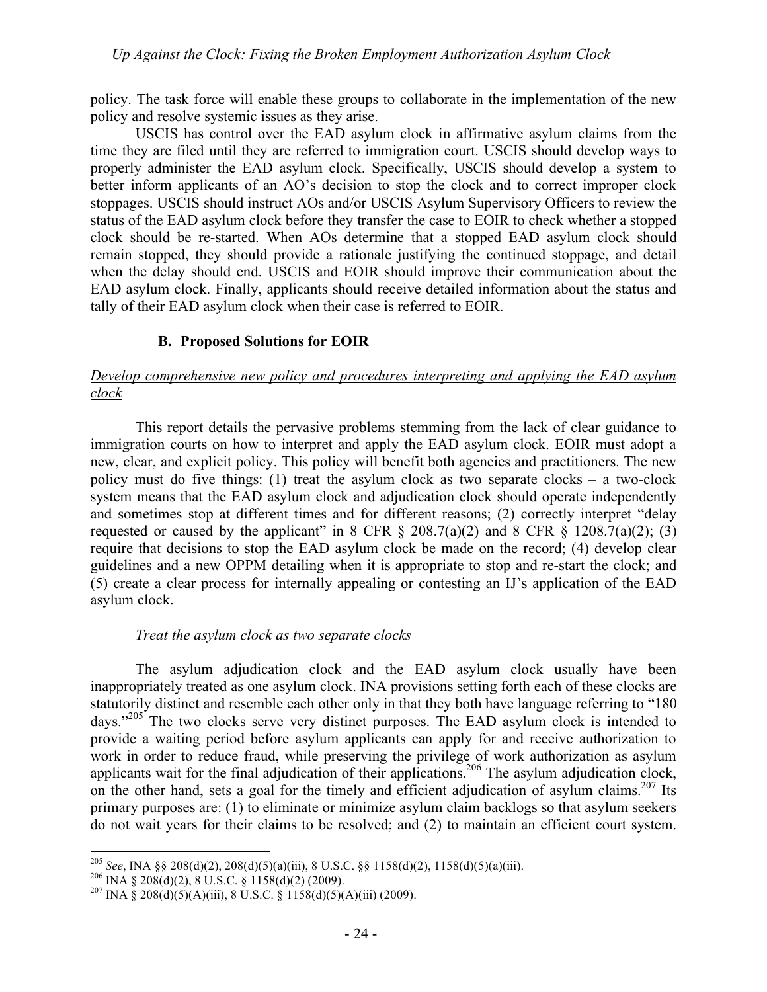policy. The task force will enable these groups to collaborate in the implementation of the new policy and resolve systemic issues as they arise.

USCIS has control over the EAD asylum clock in affirmative asylum claims from the time they are filed until they are referred to immigration court. USCIS should develop ways to properly administer the EAD asylum clock. Specifically, USCIS should develop a system to better inform applicants of an AO's decision to stop the clock and to correct improper clock stoppages. USCIS should instruct AOs and/or USCIS Asylum Supervisory Officers to review the status of the EAD asylum clock before they transfer the case to EOIR to check whether a stopped clock should be re-started. When AOs determine that a stopped EAD asylum clock should remain stopped, they should provide a rationale justifying the continued stoppage, and detail when the delay should end. USCIS and EOIR should improve their communication about the EAD asylum clock. Finally, applicants should receive detailed information about the status and tally of their EAD asylum clock when their case is referred to EOIR.

# **B. Proposed Solutions for EOIR**

# *Develop comprehensive new policy and procedures interpreting and applying the EAD asylum clock*

This report details the pervasive problems stemming from the lack of clear guidance to immigration courts on how to interpret and apply the EAD asylum clock. EOIR must adopt a new, clear, and explicit policy. This policy will benefit both agencies and practitioners. The new policy must do five things: (1) treat the asylum clock as two separate clocks – a two-clock system means that the EAD asylum clock and adjudication clock should operate independently and sometimes stop at different times and for different reasons; (2) correctly interpret "delay requested or caused by the applicant" in 8 CFR  $\S$  208.7(a)(2) and 8 CFR  $\S$  1208.7(a)(2); (3) require that decisions to stop the EAD asylum clock be made on the record; (4) develop clear guidelines and a new OPPM detailing when it is appropriate to stop and re-start the clock; and (5) create a clear process for internally appealing or contesting an IJ's application of the EAD asylum clock.

# *Treat the asylum clock as two separate clocks*

The asylum adjudication clock and the EAD asylum clock usually have been inappropriately treated as one asylum clock. INA provisions setting forth each of these clocks are statutorily distinct and resemble each other only in that they both have language referring to "180 days."205 The two clocks serve very distinct purposes. The EAD asylum clock is intended to provide a waiting period before asylum applicants can apply for and receive authorization to work in order to reduce fraud, while preserving the privilege of work authorization as asylum applicants wait for the final adjudication of their applications.<sup>206</sup> The asylum adjudication clock, on the other hand, sets a goal for the timely and efficient adjudication of asylum claims.<sup>207</sup> Its primary purposes are: (1) to eliminate or minimize asylum claim backlogs so that asylum seekers do not wait years for their claims to be resolved; and (2) to maintain an efficient court system.

<sup>&</sup>lt;sup>205</sup> *See*, INA §§ 208(d)(2), 208(d)(5)(a)(iii), 8 U.S.C. §§ 1158(d)(2), 1158(d)(5)(a)(iii).<br><sup>206</sup> INA § 208(d)(2), 8 U.S.C. § 1158(d)(2) (2009).<br><sup>207</sup> INA § 208(d)(5)(A)(iii), 8 U.S.C. § 1158(d)(5)(A)(iii) (2009).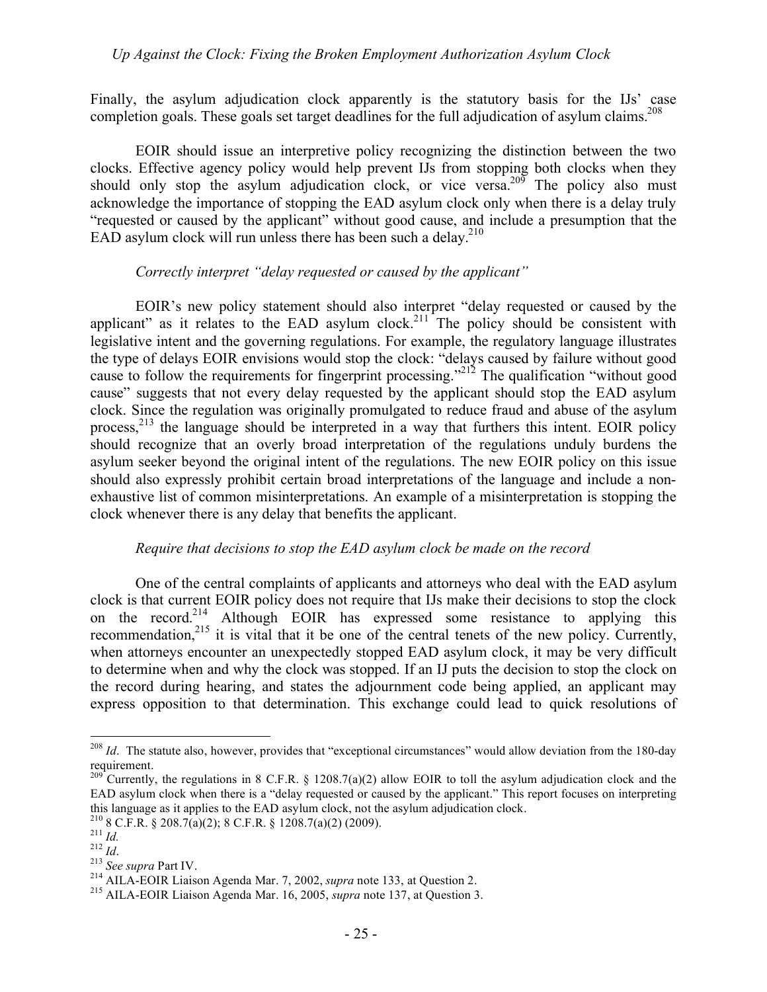Finally, the asylum adjudication clock apparently is the statutory basis for the IJs' case completion goals. These goals set target deadlines for the full adjudication of asylum claims.<sup>208</sup>

EOIR should issue an interpretive policy recognizing the distinction between the two clocks. Effective agency policy would help prevent IJs from stopping both clocks when they should only stop the asylum adjudication clock, or vice versa.<sup>209</sup> The policy also must acknowledge the importance of stopping the EAD asylum clock only when there is a delay truly "requested or caused by the applicant" without good cause, and include a presumption that the EAD asylum clock will run unless there has been such a delay. $^{210}$ 

#### *Correctly interpret "delay requested or caused by the applicant"*

EOIR's new policy statement should also interpret "delay requested or caused by the applicant" as it relates to the EAD asylum clock.<sup>211</sup> The policy should be consistent with legislative intent and the governing regulations. For example, the regulatory language illustrates the type of delays EOIR envisions would stop the clock: "delays caused by failure without good cause to follow the requirements for fingerprint processing."212 The qualification "without good cause" suggests that not every delay requested by the applicant should stop the EAD asylum clock. Since the regulation was originally promulgated to reduce fraud and abuse of the asylum process, $^{213}$  the language should be interpreted in a way that furthers this intent. EOIR policy should recognize that an overly broad interpretation of the regulations unduly burdens the asylum seeker beyond the original intent of the regulations. The new EOIR policy on this issue should also expressly prohibit certain broad interpretations of the language and include a nonexhaustive list of common misinterpretations. An example of a misinterpretation is stopping the clock whenever there is any delay that benefits the applicant.

#### *Require that decisions to stop the EAD asylum clock be made on the record*

One of the central complaints of applicants and attorneys who deal with the EAD asylum clock is that current EOIR policy does not require that IJs make their decisions to stop the clock on the record.<sup>214</sup> Although EOIR has expressed some resistance to applying this recommendation,<sup>215</sup> it is vital that it be one of the central tenets of the new policy. Currently, when attorneys encounter an unexpectedly stopped EAD asylum clock, it may be very difficult to determine when and why the clock was stopped. If an IJ puts the decision to stop the clock on the record during hearing, and states the adjournment code being applied, an applicant may express opposition to that determination. This exchange could lead to quick resolutions of

<sup>&</sup>lt;sup>208</sup> *Id*. The statute also, however, provides that "exceptional circumstances" would allow deviation from the 180-day requirement.

<sup>&</sup>lt;sup>209</sup><sup>-</sup>Currently, the regulations in 8 C.F.R. § 1208.7(a)(2) allow EOIR to toll the asylum adjudication clock and the EAD asylum clock when there is a "delay requested or caused by the applicant." This report focuses on interpreting this language as it applies to the EAD asylum clock, not the asylum adjudication clock.<br>
<sup>210</sup> 8 C.F.R. § 208.7(a)(2); 8 C.F.R. § 1208.7(a)(2) (2009).<br>
<sup>211</sup> *Id.*<br>
<sup>212</sup> *Id.*<br>
<sup>213</sup> *See supra* Part IV.<br>
<sup>214</sup> AILA-EOIR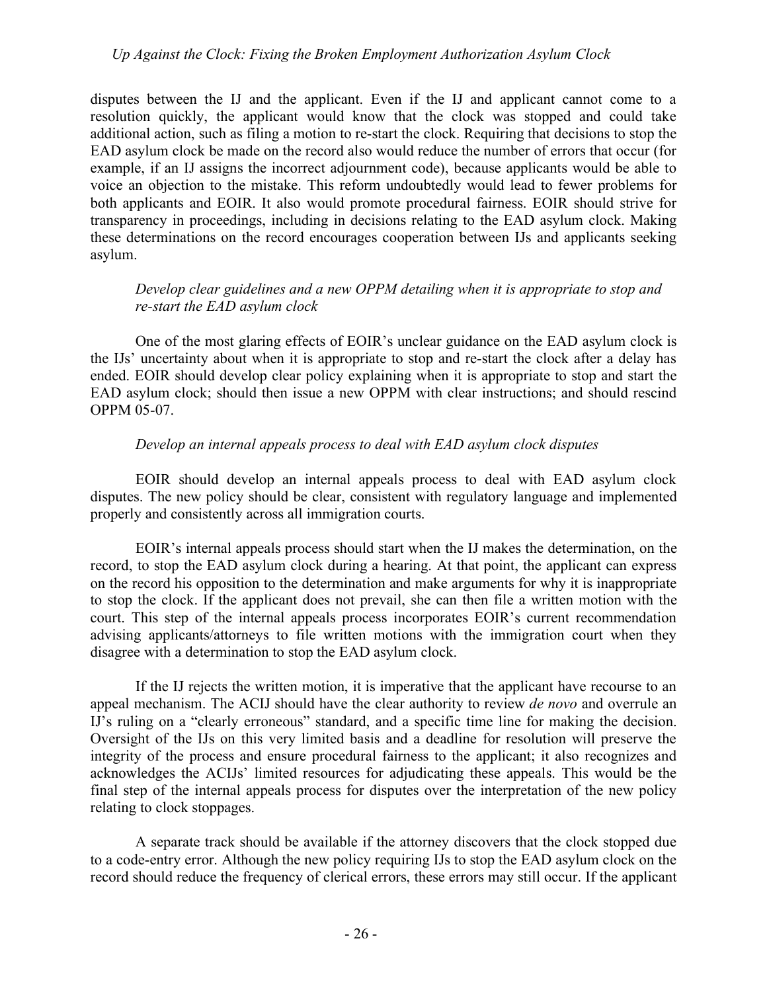disputes between the IJ and the applicant. Even if the IJ and applicant cannot come to a resolution quickly, the applicant would know that the clock was stopped and could take additional action, such as filing a motion to re-start the clock. Requiring that decisions to stop the EAD asylum clock be made on the record also would reduce the number of errors that occur (for example, if an IJ assigns the incorrect adjournment code), because applicants would be able to voice an objection to the mistake. This reform undoubtedly would lead to fewer problems for both applicants and EOIR. It also would promote procedural fairness. EOIR should strive for transparency in proceedings, including in decisions relating to the EAD asylum clock. Making these determinations on the record encourages cooperation between IJs and applicants seeking asylum.

# *Develop clear guidelines and a new OPPM detailing when it is appropriate to stop and re-start the EAD asylum clock*

One of the most glaring effects of EOIR's unclear guidance on the EAD asylum clock is the IJs' uncertainty about when it is appropriate to stop and re-start the clock after a delay has ended. EOIR should develop clear policy explaining when it is appropriate to stop and start the EAD asylum clock; should then issue a new OPPM with clear instructions; and should rescind OPPM 05-07.

## *Develop an internal appeals process to deal with EAD asylum clock disputes*

EOIR should develop an internal appeals process to deal with EAD asylum clock disputes. The new policy should be clear, consistent with regulatory language and implemented properly and consistently across all immigration courts.

EOIR's internal appeals process should start when the IJ makes the determination, on the record, to stop the EAD asylum clock during a hearing. At that point, the applicant can express on the record his opposition to the determination and make arguments for why it is inappropriate to stop the clock. If the applicant does not prevail, she can then file a written motion with the court. This step of the internal appeals process incorporates EOIR's current recommendation advising applicants/attorneys to file written motions with the immigration court when they disagree with a determination to stop the EAD asylum clock.

If the IJ rejects the written motion, it is imperative that the applicant have recourse to an appeal mechanism. The ACIJ should have the clear authority to review *de novo* and overrule an IJ's ruling on a "clearly erroneous" standard, and a specific time line for making the decision. Oversight of the IJs on this very limited basis and a deadline for resolution will preserve the integrity of the process and ensure procedural fairness to the applicant; it also recognizes and acknowledges the ACIJs' limited resources for adjudicating these appeals. This would be the final step of the internal appeals process for disputes over the interpretation of the new policy relating to clock stoppages.

A separate track should be available if the attorney discovers that the clock stopped due to a code-entry error. Although the new policy requiring IJs to stop the EAD asylum clock on the record should reduce the frequency of clerical errors, these errors may still occur. If the applicant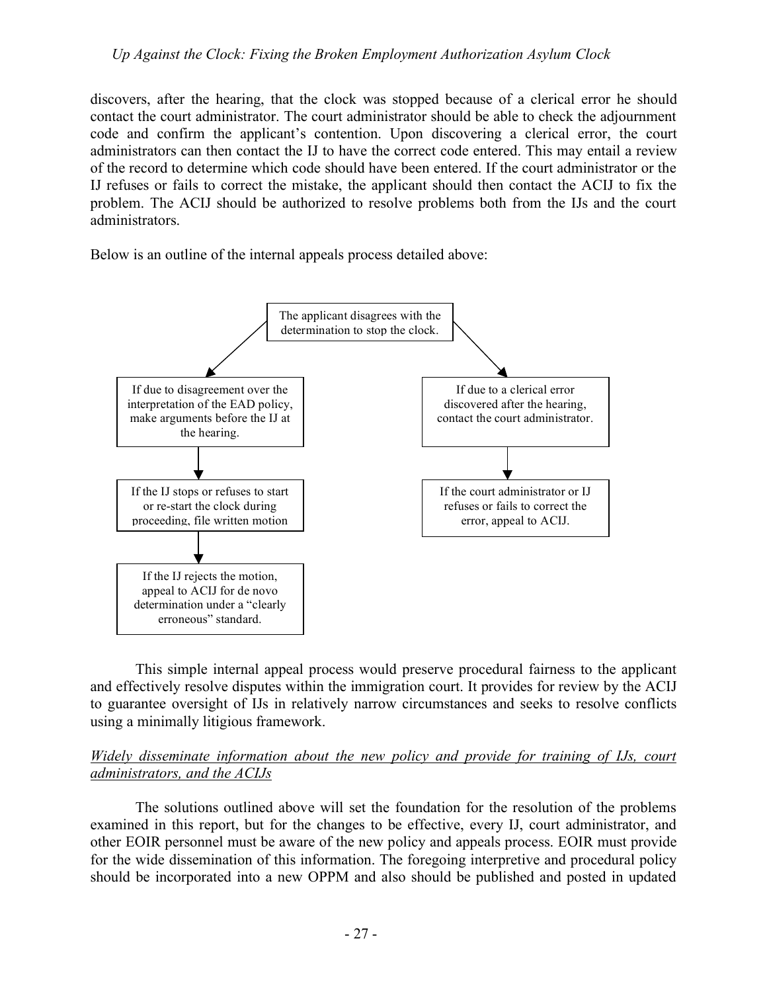discovers, after the hearing, that the clock was stopped because of a clerical error he should contact the court administrator. The court administrator should be able to check the adjournment code and confirm the applicant's contention. Upon discovering a clerical error, the court administrators can then contact the IJ to have the correct code entered. This may entail a review of the record to determine which code should have been entered. If the court administrator or the IJ refuses or fails to correct the mistake, the applicant should then contact the ACIJ to fix the problem. The ACIJ should be authorized to resolve problems both from the IJs and the court administrators.

Below is an outline of the internal appeals process detailed above:



This simple internal appeal process would preserve procedural fairness to the applicant and effectively resolve disputes within the immigration court. It provides for review by the ACIJ to guarantee oversight of IJs in relatively narrow circumstances and seeks to resolve conflicts using a minimally litigious framework.

## *Widely disseminate information about the new policy and provide for training of IJs, court administrators, and the ACIJs*

The solutions outlined above will set the foundation for the resolution of the problems examined in this report, but for the changes to be effective, every IJ, court administrator, and other EOIR personnel must be aware of the new policy and appeals process. EOIR must provide for the wide dissemination of this information. The foregoing interpretive and procedural policy should be incorporated into a new OPPM and also should be published and posted in updated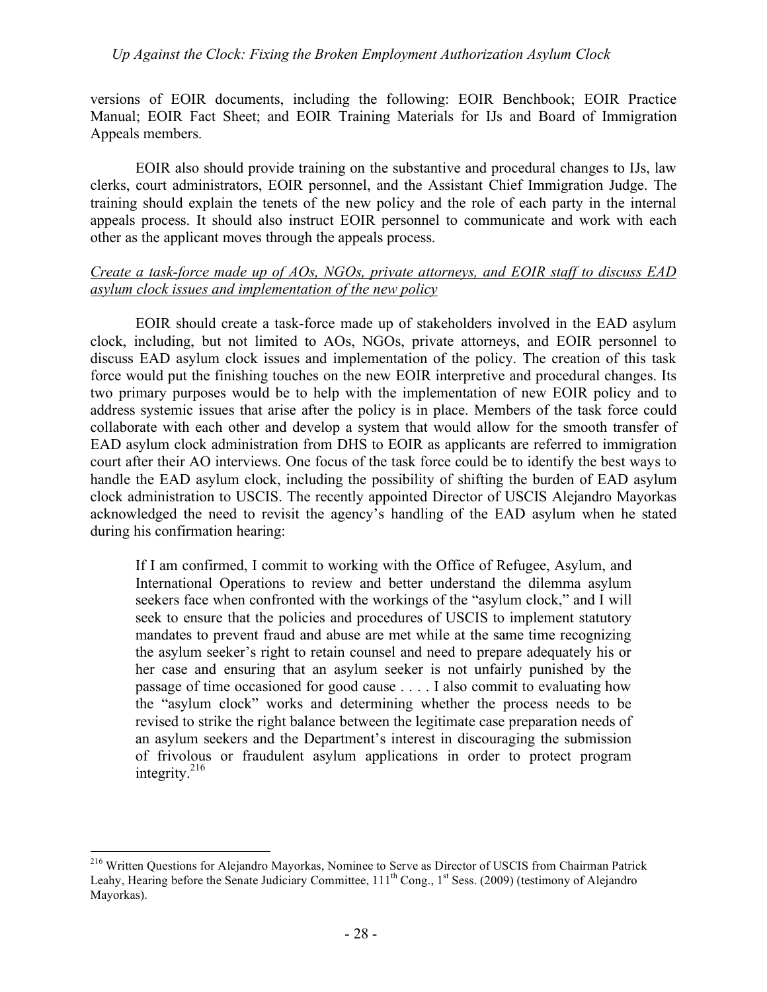versions of EOIR documents, including the following: EOIR Benchbook; EOIR Practice Manual; EOIR Fact Sheet; and EOIR Training Materials for IJs and Board of Immigration Appeals members.

EOIR also should provide training on the substantive and procedural changes to IJs, law clerks, court administrators, EOIR personnel, and the Assistant Chief Immigration Judge. The training should explain the tenets of the new policy and the role of each party in the internal appeals process. It should also instruct EOIR personnel to communicate and work with each other as the applicant moves through the appeals process.

#### *Create a task-force made up of AOs, NGOs, private attorneys, and EOIR staff to discuss EAD asylum clock issues and implementation of the new policy*

EOIR should create a task-force made up of stakeholders involved in the EAD asylum clock, including, but not limited to AOs, NGOs, private attorneys, and EOIR personnel to discuss EAD asylum clock issues and implementation of the policy. The creation of this task force would put the finishing touches on the new EOIR interpretive and procedural changes. Its two primary purposes would be to help with the implementation of new EOIR policy and to address systemic issues that arise after the policy is in place. Members of the task force could collaborate with each other and develop a system that would allow for the smooth transfer of EAD asylum clock administration from DHS to EOIR as applicants are referred to immigration court after their AO interviews. One focus of the task force could be to identify the best ways to handle the EAD asylum clock, including the possibility of shifting the burden of EAD asylum clock administration to USCIS. The recently appointed Director of USCIS Alejandro Mayorkas acknowledged the need to revisit the agency's handling of the EAD asylum when he stated during his confirmation hearing:

If I am confirmed, I commit to working with the Office of Refugee, Asylum, and International Operations to review and better understand the dilemma asylum seekers face when confronted with the workings of the "asylum clock," and I will seek to ensure that the policies and procedures of USCIS to implement statutory mandates to prevent fraud and abuse are met while at the same time recognizing the asylum seeker's right to retain counsel and need to prepare adequately his or her case and ensuring that an asylum seeker is not unfairly punished by the passage of time occasioned for good cause . . . . I also commit to evaluating how the "asylum clock" works and determining whether the process needs to be revised to strike the right balance between the legitimate case preparation needs of an asylum seekers and the Department's interest in discouraging the submission of frivolous or fraudulent asylum applications in order to protect program integrity. $216$ 

<sup>&</sup>lt;sup>216</sup> Written Questions for Alejandro Mayorkas, Nominee to Serve as Director of USCIS from Chairman Patrick Leahy, Hearing before the Senate Judiciary Committee, 111<sup>th</sup> Cong., 1<sup>st</sup> Sess. (2009) (testimony of Alejandro Mayorkas).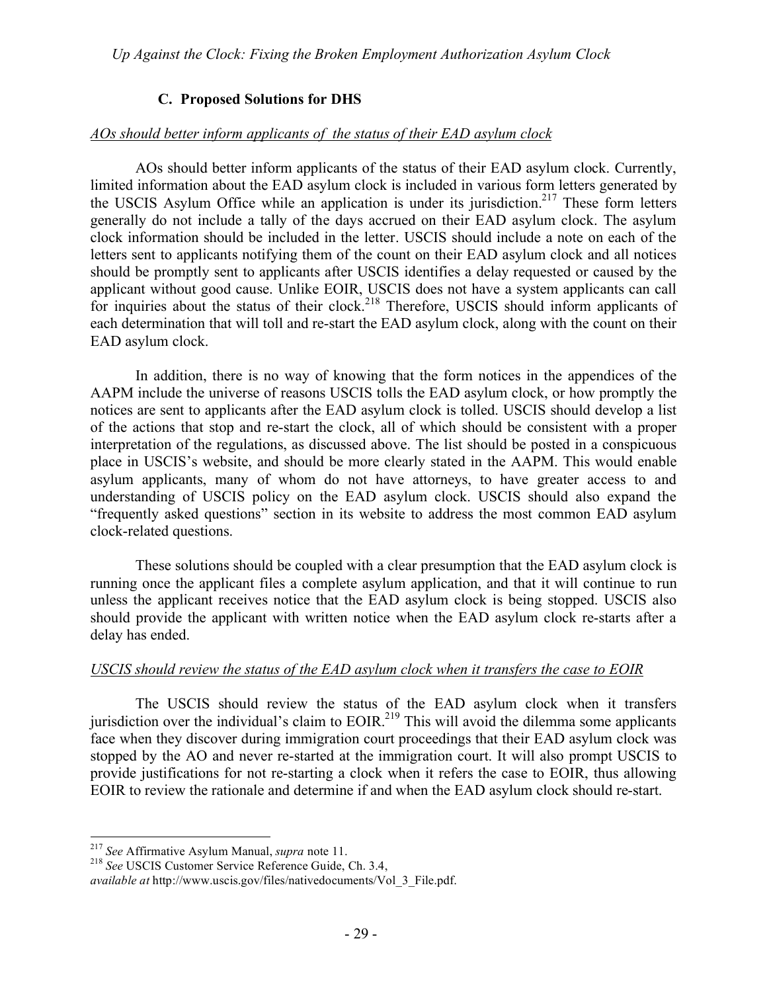# **C. Proposed Solutions for DHS**

#### *AOs should better inform applicants of the status of their EAD asylum clock*

AOs should better inform applicants of the status of their EAD asylum clock. Currently, limited information about the EAD asylum clock is included in various form letters generated by the USCIS Asylum Office while an application is under its jurisdiction.<sup>217</sup> These form letters generally do not include a tally of the days accrued on their EAD asylum clock. The asylum clock information should be included in the letter. USCIS should include a note on each of the letters sent to applicants notifying them of the count on their EAD asylum clock and all notices should be promptly sent to applicants after USCIS identifies a delay requested or caused by the applicant without good cause. Unlike EOIR, USCIS does not have a system applicants can call for inquiries about the status of their clock.<sup>218</sup> Therefore, USCIS should inform applicants of each determination that will toll and re-start the EAD asylum clock, along with the count on their EAD asylum clock.

In addition, there is no way of knowing that the form notices in the appendices of the AAPM include the universe of reasons USCIS tolls the EAD asylum clock, or how promptly the notices are sent to applicants after the EAD asylum clock is tolled. USCIS should develop a list of the actions that stop and re-start the clock, all of which should be consistent with a proper interpretation of the regulations, as discussed above. The list should be posted in a conspicuous place in USCIS's website, and should be more clearly stated in the AAPM. This would enable asylum applicants, many of whom do not have attorneys, to have greater access to and understanding of USCIS policy on the EAD asylum clock. USCIS should also expand the "frequently asked questions" section in its website to address the most common EAD asylum clock-related questions.

These solutions should be coupled with a clear presumption that the EAD asylum clock is running once the applicant files a complete asylum application, and that it will continue to run unless the applicant receives notice that the EAD asylum clock is being stopped. USCIS also should provide the applicant with written notice when the EAD asylum clock re-starts after a delay has ended.

#### *USCIS should review the status of the EAD asylum clock when it transfers the case to EOIR*

The USCIS should review the status of the EAD asylum clock when it transfers jurisdiction over the individual's claim to EOIR.<sup>219</sup> This will avoid the dilemma some applicants face when they discover during immigration court proceedings that their EAD asylum clock was stopped by the AO and never re-started at the immigration court. It will also prompt USCIS to provide justifications for not re-starting a clock when it refers the case to EOIR, thus allowing EOIR to review the rationale and determine if and when the EAD asylum clock should re-start.

<sup>217</sup> *See* Affirmative Asylum Manual, *supra* note 11. <sup>218</sup> *See* USCIS Customer Service Reference Guide, Ch. 3.4,

*available at* http://www.uscis.gov/files/nativedocuments/Vol\_3\_File.pdf.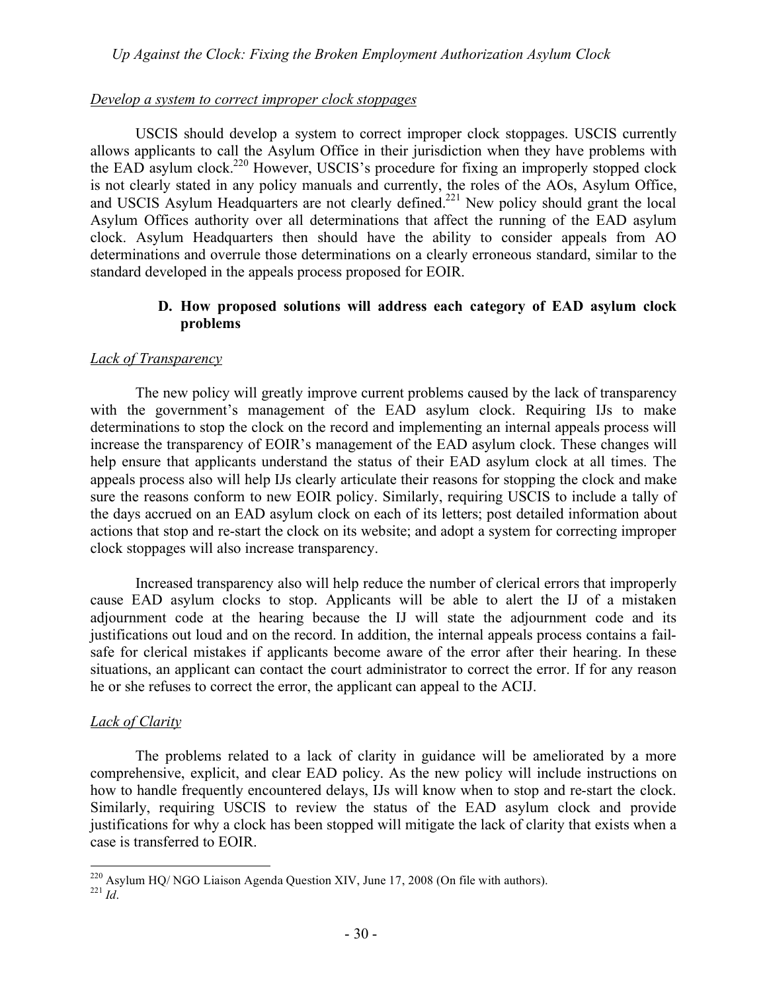#### *Develop a system to correct improper clock stoppages*

USCIS should develop a system to correct improper clock stoppages. USCIS currently allows applicants to call the Asylum Office in their jurisdiction when they have problems with the EAD asylum clock.<sup>220</sup> However, USCIS's procedure for fixing an improperly stopped clock is not clearly stated in any policy manuals and currently, the roles of the AOs, Asylum Office, and USCIS Asylum Headquarters are not clearly defined.<sup>221</sup> New policy should grant the local Asylum Offices authority over all determinations that affect the running of the EAD asylum clock. Asylum Headquarters then should have the ability to consider appeals from AO determinations and overrule those determinations on a clearly erroneous standard, similar to the standard developed in the appeals process proposed for EOIR.

#### **D. How proposed solutions will address each category of EAD asylum clock problems**

#### *Lack of Transparency*

The new policy will greatly improve current problems caused by the lack of transparency with the government's management of the EAD asylum clock. Requiring IJs to make determinations to stop the clock on the record and implementing an internal appeals process will increase the transparency of EOIR's management of the EAD asylum clock. These changes will help ensure that applicants understand the status of their EAD asylum clock at all times. The appeals process also will help IJs clearly articulate their reasons for stopping the clock and make sure the reasons conform to new EOIR policy. Similarly, requiring USCIS to include a tally of the days accrued on an EAD asylum clock on each of its letters; post detailed information about actions that stop and re-start the clock on its website; and adopt a system for correcting improper clock stoppages will also increase transparency.

Increased transparency also will help reduce the number of clerical errors that improperly cause EAD asylum clocks to stop. Applicants will be able to alert the IJ of a mistaken adjournment code at the hearing because the IJ will state the adjournment code and its justifications out loud and on the record. In addition, the internal appeals process contains a failsafe for clerical mistakes if applicants become aware of the error after their hearing. In these situations, an applicant can contact the court administrator to correct the error. If for any reason he or she refuses to correct the error, the applicant can appeal to the ACIJ.

# *Lack of Clarity*

The problems related to a lack of clarity in guidance will be ameliorated by a more comprehensive, explicit, and clear EAD policy. As the new policy will include instructions on how to handle frequently encountered delays, IJs will know when to stop and re-start the clock. Similarly, requiring USCIS to review the status of the EAD asylum clock and provide justifications for why a clock has been stopped will mitigate the lack of clarity that exists when a case is transferred to EOIR.

<sup>&</sup>lt;sup>220</sup> Asylum HQ/ NGO Liaison Agenda Question XIV, June 17, 2008 (On file with authors).<br><sup>221</sup> *Id*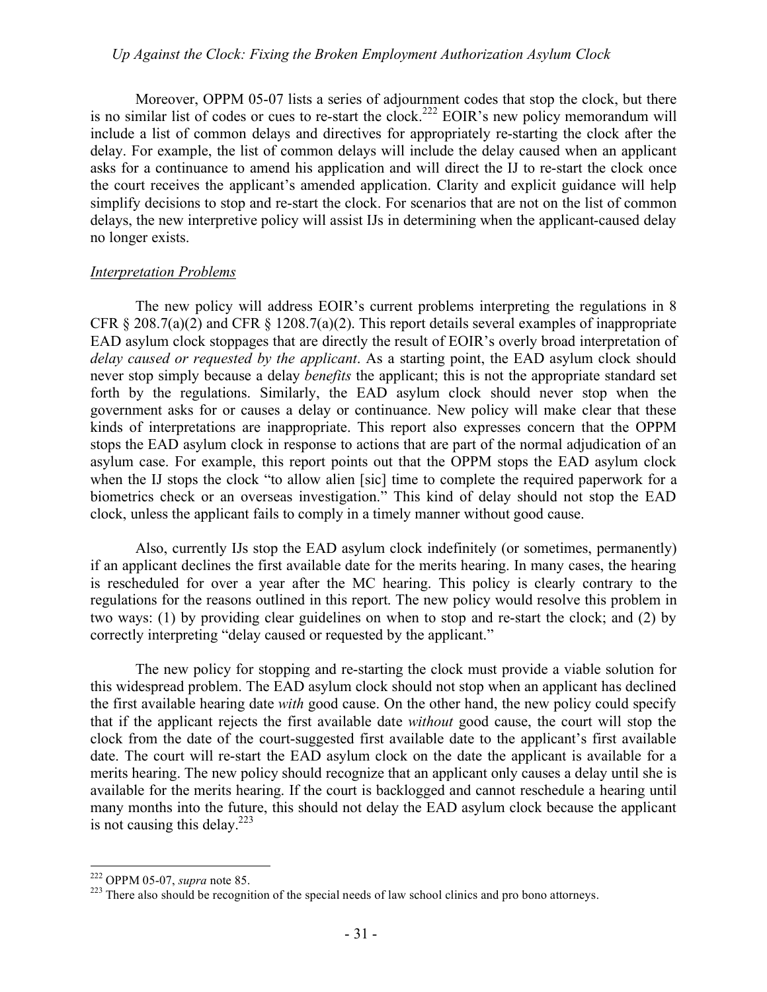Moreover, OPPM 05-07 lists a series of adjournment codes that stop the clock, but there is no similar list of codes or cues to re-start the clock.<sup>222</sup> EOIR's new policy memorandum will include a list of common delays and directives for appropriately re-starting the clock after the delay. For example, the list of common delays will include the delay caused when an applicant asks for a continuance to amend his application and will direct the IJ to re-start the clock once the court receives the applicant's amended application. Clarity and explicit guidance will help simplify decisions to stop and re-start the clock. For scenarios that are not on the list of common delays, the new interpretive policy will assist IJs in determining when the applicant-caused delay no longer exists.

#### *Interpretation Problems*

The new policy will address EOIR's current problems interpreting the regulations in 8 CFR § 208.7(a)(2) and CFR § 1208.7(a)(2). This report details several examples of inappropriate EAD asylum clock stoppages that are directly the result of EOIR's overly broad interpretation of *delay caused or requested by the applicant*. As a starting point, the EAD asylum clock should never stop simply because a delay *benefits* the applicant; this is not the appropriate standard set forth by the regulations. Similarly, the EAD asylum clock should never stop when the government asks for or causes a delay or continuance. New policy will make clear that these kinds of interpretations are inappropriate. This report also expresses concern that the OPPM stops the EAD asylum clock in response to actions that are part of the normal adjudication of an asylum case. For example, this report points out that the OPPM stops the EAD asylum clock when the IJ stops the clock "to allow alien [sic] time to complete the required paperwork for a biometrics check or an overseas investigation." This kind of delay should not stop the EAD clock, unless the applicant fails to comply in a timely manner without good cause.

Also, currently IJs stop the EAD asylum clock indefinitely (or sometimes, permanently) if an applicant declines the first available date for the merits hearing. In many cases, the hearing is rescheduled for over a year after the MC hearing. This policy is clearly contrary to the regulations for the reasons outlined in this report. The new policy would resolve this problem in two ways: (1) by providing clear guidelines on when to stop and re-start the clock; and (2) by correctly interpreting "delay caused or requested by the applicant."

The new policy for stopping and re-starting the clock must provide a viable solution for this widespread problem. The EAD asylum clock should not stop when an applicant has declined the first available hearing date *with* good cause. On the other hand, the new policy could specify that if the applicant rejects the first available date *without* good cause, the court will stop the clock from the date of the court-suggested first available date to the applicant's first available date. The court will re-start the EAD asylum clock on the date the applicant is available for a merits hearing. The new policy should recognize that an applicant only causes a delay until she is available for the merits hearing. If the court is backlogged and cannot reschedule a hearing until many months into the future, this should not delay the EAD asylum clock because the applicant is not causing this delay. $223$ 

<sup>&</sup>lt;sup>222</sup> OPPM 05-07, *supra* note 85.<br><sup>223</sup> There also should be recognition of the special needs of law school clinics and pro bono attorneys.